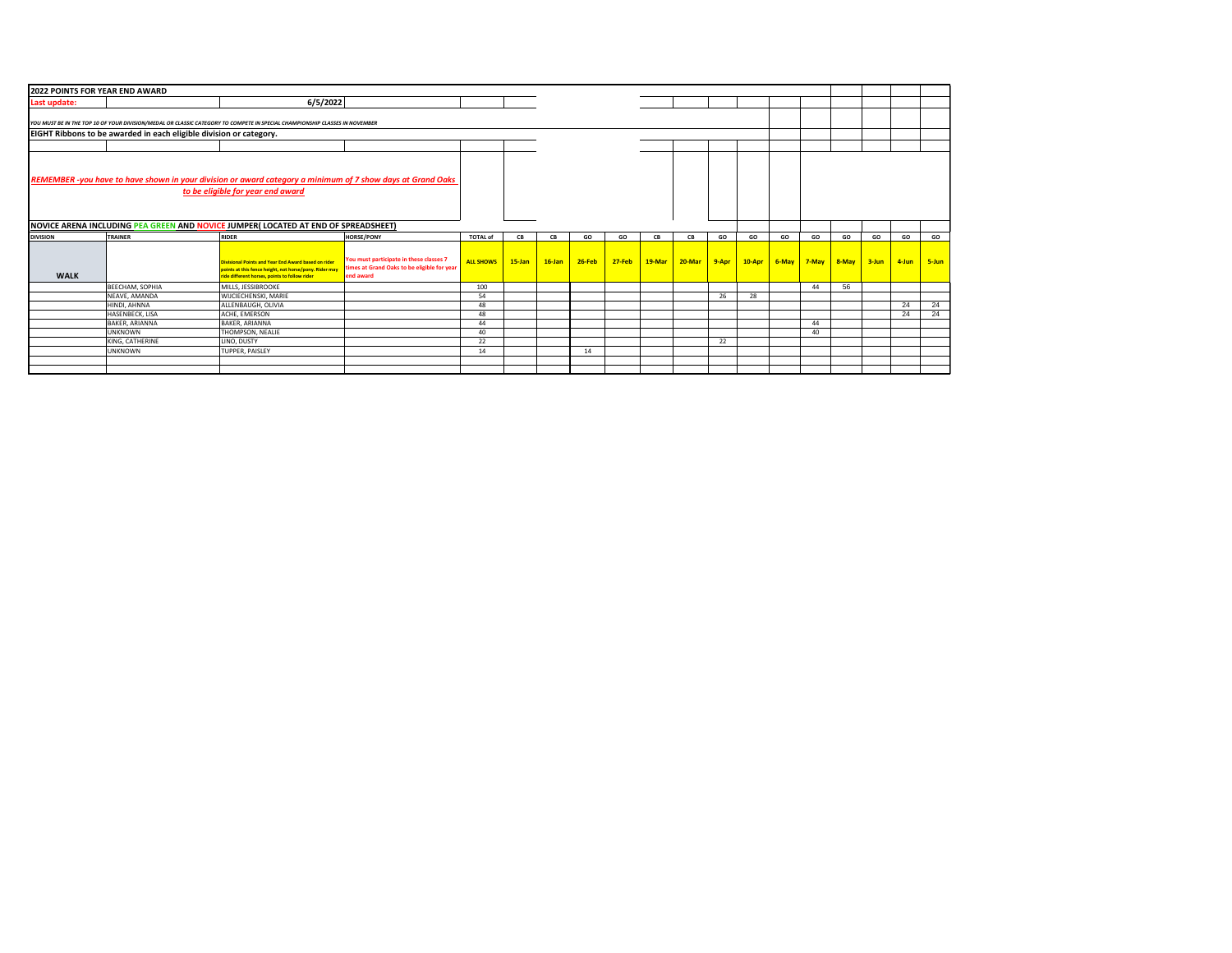| 2022 POINTS FOR YEAR END AWARD |                                                                    |                                                                                                                             |                                             |                  |           |           |            |            |        |          |       |        |    |                |       |           |       |       |
|--------------------------------|--------------------------------------------------------------------|-----------------------------------------------------------------------------------------------------------------------------|---------------------------------------------|------------------|-----------|-----------|------------|------------|--------|----------|-------|--------|----|----------------|-------|-----------|-------|-------|
| Last update:                   |                                                                    | 6/5/2022                                                                                                                    |                                             |                  |           |           |            |            |        |          |       |        |    |                |       |           |       |       |
|                                |                                                                    |                                                                                                                             |                                             |                  |           |           |            |            |        |          |       |        |    |                |       |           |       |       |
|                                |                                                                    | YOU MUST BE IN THE TOP 10 OF YOUR DIVISION/MEDAL OR CLASSIC CATEGORY TO COMPETE IN SPECIAL CHAMPIONSHIP CLASSES IN NOVEMBER |                                             |                  |           |           |            |            |        |          |       |        |    |                |       |           |       |       |
|                                | EIGHT Ribbons to be awarded in each eligible division or category. |                                                                                                                             |                                             |                  |           |           |            |            |        |          |       |        |    |                |       |           |       |       |
|                                |                                                                    |                                                                                                                             |                                             |                  |           |           |            |            |        |          |       |        |    |                |       |           |       |       |
|                                |                                                                    |                                                                                                                             |                                             |                  |           |           |            |            |        |          |       |        |    |                |       |           |       |       |
|                                |                                                                    |                                                                                                                             |                                             |                  |           |           |            |            |        |          |       |        |    |                |       |           |       |       |
|                                |                                                                    |                                                                                                                             |                                             |                  |           |           |            |            |        |          |       |        |    |                |       |           |       |       |
|                                |                                                                    | REMEMBER -you have to have shown in your division or award category a minimum of 7 show days at Grand Oaks                  |                                             |                  |           |           |            |            |        |          |       |        |    |                |       |           |       |       |
|                                |                                                                    | to be eligible for year end award                                                                                           |                                             |                  |           |           |            |            |        |          |       |        |    |                |       |           |       |       |
|                                |                                                                    |                                                                                                                             |                                             |                  |           |           |            |            |        |          |       |        |    |                |       |           |       |       |
|                                |                                                                    |                                                                                                                             |                                             |                  |           |           |            |            |        |          |       |        |    |                |       |           |       |       |
|                                |                                                                    | NOVICE ARENA INCLUDING PEA GREEN AND NOVICE JUMPER( LOCATED AT END OF SPREADSHEET)                                          |                                             |                  |           |           |            |            |        |          |       |        |    |                |       |           |       |       |
| <b>DIVISION</b>                | TRAINER                                                            | <b>RIDER</b>                                                                                                                | <b>HORSE/PONY</b>                           | <b>TOTAL of</b>  | CB        | CB        | GO         | GO         | CB     | CB       | GO    | GO     | GO | GO             | GO    | GO        | GO    | GO    |
|                                |                                                                    |                                                                                                                             |                                             |                  |           |           |            |            |        |          |       |        |    |                |       |           |       |       |
|                                |                                                                    | <b>Divisional Points and Year End Award based on rider</b>                                                                  | You must participate in these classes 7     | <b>ALL SHOWS</b> | $15$ -Jan | $16$ -Jan | $26 - Feb$ | $27 - Feb$ | 19-Mar | $20-Mar$ | 9-Apr | 10-Apr |    | $6$ -May 7-May | 8-May | $3 - Jun$ | 4-Jun | 5-Jun |
|                                |                                                                    | points at this fence height, not horse/pony. Rider may                                                                      | times at Grand Oaks to be eligible for year |                  |           |           |            |            |        |          |       |        |    |                |       |           |       |       |
| <b>WALK</b>                    |                                                                    | ride different horses, points to follow rider                                                                               | end award                                   |                  |           |           |            |            |        |          |       |        |    |                |       |           |       |       |
|                                | <b>BEECHAM, SOPHIA</b>                                             | MILLS, JESSIBROOKE                                                                                                          |                                             | 100              |           |           |            |            |        |          |       |        |    | 44             | 56    |           |       |       |
|                                | NEAVE, AMANDA                                                      | WIJCIECHENSKI, MARIE                                                                                                        |                                             | 54               |           |           |            |            |        |          | 26    | 28     |    |                |       |           |       |       |
|                                | HINDI, AHNNA                                                       | ALLENBAUGH, OLIVIA                                                                                                          |                                             | 48               |           |           |            |            |        |          |       |        |    |                |       |           | 24    | 24    |
|                                | <b>HASENBECK, LISA</b>                                             | ACHE. EMERSON                                                                                                               |                                             | 48               |           |           |            |            |        |          |       |        |    |                |       |           | 24    | 24    |
|                                | BAKER, ARIANNA                                                     | <b>BAKER, ARIANNA</b>                                                                                                       |                                             | 44               |           |           |            |            |        |          |       |        |    | 44             |       |           |       |       |
|                                | <b>UNKNOWN</b>                                                     | THOMPSON, NEALIE                                                                                                            |                                             | 40               |           |           |            |            |        |          |       |        |    | 40             |       |           |       |       |
|                                | KING, CATHERINE                                                    | LINO, DUSTY                                                                                                                 |                                             | 22               |           |           |            |            |        |          | 22    |        |    |                |       |           |       |       |
|                                | <b>UNKNOWN</b>                                                     | TUPPER, PAISLEY                                                                                                             |                                             | 14               |           |           | 14         |            |        |          |       |        |    |                |       |           |       |       |
|                                |                                                                    |                                                                                                                             |                                             |                  |           |           |            |            |        |          |       |        |    |                |       |           |       |       |
|                                |                                                                    |                                                                                                                             |                                             |                  |           |           |            |            |        |          |       |        |    |                |       |           |       |       |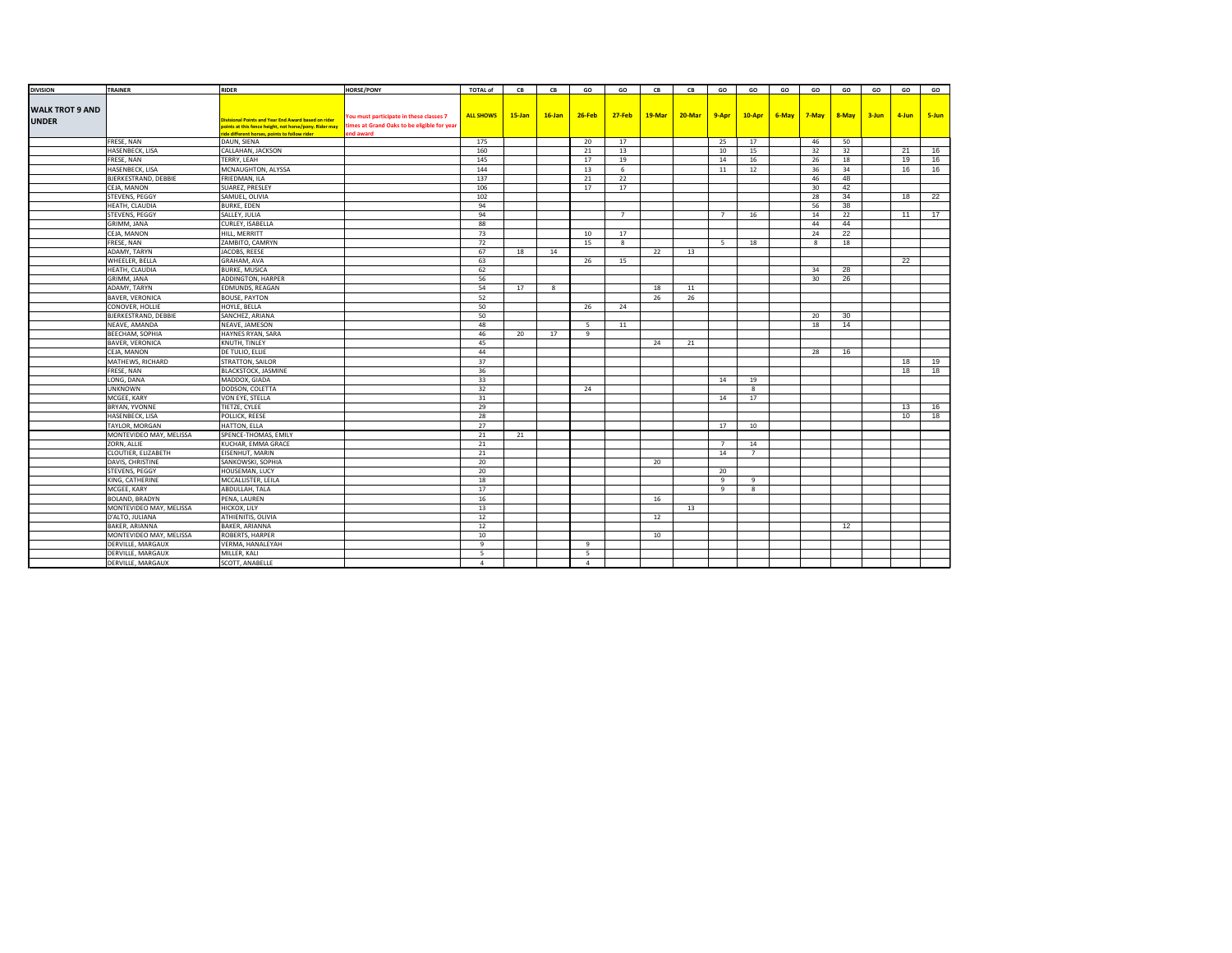| <b>DIVISION</b>        | TRAINER                     | <b>RIDER</b>                                                                                            | <b>HORSE/PONY</b>                                        | <b>TOTAL of</b>  | CB        | CB        | GO        | GO             | CB     | CB        | GO             | GO             | GO | GO          | GO              | GO | GO    | GO    |
|------------------------|-----------------------------|---------------------------------------------------------------------------------------------------------|----------------------------------------------------------|------------------|-----------|-----------|-----------|----------------|--------|-----------|----------------|----------------|----|-------------|-----------------|----|-------|-------|
|                        |                             |                                                                                                         |                                                          |                  |           |           |           |                |        |           |                |                |    |             |                 |    |       |       |
| <b>WALK TROT 9 AND</b> |                             |                                                                                                         |                                                          |                  |           |           |           |                |        |           |                |                |    |             |                 |    |       |       |
| <b>UNDER</b>           |                             | <b>Divisional Points and Year End Award based on rider</b>                                              | You must participate in these classes 7                  | <b>ALL SHOWS</b> | $15$ -Jan | $16$ -Jan | $26$ -Feb | <b>27-Feb</b>  | 19-Mar | $20$ -Mar | 9-Apr          | $10-Apr$       |    | 6-May 7-May | $8 - May$ 3-Jun |    | 4-Jun | 5-Jun |
|                        |                             | points at this fence height, not horse/pony. Rider may<br>ride different horses, points to follow rider | times at Grand Oaks to be eligible for year<br>end award |                  |           |           |           |                |        |           |                |                |    |             |                 |    |       |       |
|                        | FRESE, NAN                  | DAUN, SIENA                                                                                             |                                                          | 175              |           |           | 20        | 17             |        |           | 25             | 17             |    | 46          | 50              |    |       |       |
|                        | HASENBECK, LISA             | CALLAHAN, JACKSON                                                                                       |                                                          | 160              |           |           | 21        | 13             |        |           | 10             | 15             |    | 32          | 32              |    | 21    | 16    |
|                        | FRESE, NAN                  | TERRY, LEAH                                                                                             |                                                          | 145              |           |           | 17        | 19             |        |           | 14             | 16             |    | 26          | 18              |    | 19    | 16    |
|                        | HASENBECK, LISA             | MCNAUGHTON, ALYSSA                                                                                      |                                                          | 144              |           |           | 13        | 6              |        |           | 11             | 12             |    | 36          | 34              |    | 16    | 16    |
|                        | BJERKESTRAND, DEBBIE        | FRIEDMAN, ILA                                                                                           |                                                          | 137              |           |           | 21        | 22             |        |           |                |                |    | 46          | 48              |    |       |       |
|                        | CEJA, MANON                 | SUAREZ, PRESLEY                                                                                         |                                                          | 106              |           |           | 17        | 17             |        |           |                |                |    | 30          | 42              |    |       |       |
|                        | <b>STEVENS, PEGGY</b>       | SAMUEL, OLIVIA                                                                                          |                                                          | 102              |           |           |           |                |        |           |                |                |    | 28          | 34              |    | 18    | 22    |
|                        | HEATH, CLAUDIA              | <b>BURKE, EDEN</b>                                                                                      |                                                          | 94               |           |           |           |                |        |           |                |                |    | 56          | 38              |    |       |       |
|                        | STEVENS, PEGGY              | SALLEY, JULIA                                                                                           |                                                          | 94               |           |           |           | $\overline{7}$ |        |           | 7              | 16             |    | 14          | 22              |    | 11    | 17    |
|                        | GRIMM, JANA                 | CURLEY, ISABELLA                                                                                        |                                                          | 88               |           |           |           |                |        |           |                |                |    | 44          | 44              |    |       |       |
|                        | CEJA, MANON                 | HILL, MERRITT                                                                                           |                                                          | 73               |           |           | 10        | 17             |        |           |                |                |    | 24          | 22              |    |       |       |
|                        | FRESE, NAN                  | ZAMBITO, CAMRYN                                                                                         |                                                          | 72               |           |           | 15        | 8              |        |           | -5             | 18             |    | 8           | 18              |    |       |       |
|                        | ADAMY, TARYN                | JACOBS, REESE                                                                                           |                                                          | 67               | 18        | 14        |           |                | 22     | 13        |                |                |    |             |                 |    |       |       |
|                        | WHEELER, BELLA              | GRAHAM, AVA                                                                                             |                                                          | 63               |           |           | 26        | 15             |        |           |                |                |    |             |                 |    | 22    |       |
|                        | HEATH, CLAUDIA              | <b>BURKE, MUSICA</b>                                                                                    |                                                          | 62               |           |           |           |                |        |           |                |                |    | 34          | 28              |    |       |       |
|                        | GRIMM, JANA                 | ADDINGTON, HARPER                                                                                       |                                                          | 56               |           |           |           |                |        |           |                |                |    | 30          | 26              |    |       |       |
|                        | ADAMY, TARYN                | EDMUNDS, REAGAN                                                                                         |                                                          | 54               | 17        | 8         |           |                | 18     | 11        |                |                |    |             |                 |    |       |       |
|                        | <b>BAVER, VERONICA</b>      | <b>BOUSE, PAYTON</b>                                                                                    |                                                          | 52               |           |           |           |                | 26     | 26        |                |                |    |             |                 |    |       |       |
|                        | CONOVER, HOLLIE             | HOYLE, BELLA                                                                                            |                                                          | 50               |           |           | 26        | 24             |        |           |                |                |    |             |                 |    |       |       |
|                        | <b>BJERKESTRAND, DEBBIE</b> | SANCHEZ, ARIANA                                                                                         |                                                          | 50               |           |           |           |                |        |           |                |                |    | 20          | 30              |    |       |       |
|                        | NEAVE, AMANDA               | NEAVE, JAMESON                                                                                          |                                                          | 48               |           |           | - 5       | 11             |        |           |                |                |    | 18          | 14              |    |       |       |
|                        | <b>BEECHAM, SOPHIA</b>      | HAYNES RYAN, SARA                                                                                       |                                                          | 46               | 20        | 17        | 9         |                |        |           |                |                |    |             |                 |    |       |       |
|                        | <b>BAVER, VERONICA</b>      | KNUTH, TINLEY                                                                                           |                                                          | 45               |           |           |           |                | 24     | 21        |                |                |    |             |                 |    |       |       |
|                        | CEJA, MANON                 | DE TULIO, ELLIE                                                                                         |                                                          | 44               |           |           |           |                |        |           |                |                |    | 28          | 16              |    |       |       |
|                        | MATHEWS, RICHARD            | STRATTON, SAILOR                                                                                        |                                                          | 37               |           |           |           |                |        |           |                |                |    |             |                 |    | 18    | 19    |
|                        | FRESE, NAN                  | <b>BLACKSTOCK, JASMINE</b>                                                                              |                                                          | 36               |           |           |           |                |        |           |                |                |    |             |                 |    | 18    | 18    |
|                        | LONG, DANA                  | MADDOX, GIADA                                                                                           |                                                          | 33               |           |           |           |                |        |           | 14             | 19             |    |             |                 |    |       |       |
|                        | <b>UNKNOWN</b>              | DODSON, COLETTA                                                                                         |                                                          | 32               |           |           | 24        |                |        |           |                | 8              |    |             |                 |    |       |       |
|                        | MCGEE, KARY                 | VON EYE, STELLA                                                                                         |                                                          | 31               |           |           |           |                |        |           | 14             | 17             |    |             |                 |    |       |       |
|                        | BRYAN, YVONNE               | TIETZE, CYLEE                                                                                           |                                                          | 29               |           |           |           |                |        |           |                |                |    |             |                 |    | 13    | 16    |
|                        | HASENBECK, LISA             | POLLICK, REESE                                                                                          |                                                          | 28               |           |           |           |                |        |           |                |                |    |             |                 |    | 10    | 18    |
|                        | TAYLOR, MORGAN              | HATTON, ELLA                                                                                            |                                                          | 27               |           |           |           |                |        |           | 17             | 10             |    |             |                 |    |       |       |
|                        | MONTEVIDEO MAY, MELISSA     | SPENCE-THOMAS, EMILY                                                                                    |                                                          | 21               | 21        |           |           |                |        |           |                |                |    |             |                 |    |       |       |
|                        | ZORN, ALLIE                 | KUCHAR, EMMA GRACE                                                                                      |                                                          | 21               |           |           |           |                |        |           | $\overline{7}$ | 14             |    |             |                 |    |       |       |
|                        | CLOUTIER, ELIZABETH         | EISENHUT, MARIN                                                                                         |                                                          | 21               |           |           |           |                |        |           | 14             | $\overline{7}$ |    |             |                 |    |       |       |
|                        | DAVIS, CHRISTINE            | SANKOWSKI, SOPHIA                                                                                       |                                                          | 20               |           |           |           |                | 20     |           |                |                |    |             |                 |    |       |       |
|                        | STEVENS, PEGGY              | HOUSEMAN, LUCY                                                                                          |                                                          | 20               |           |           |           |                |        |           | 20             |                |    |             |                 |    |       |       |
|                        | KING, CATHERINE             | MCCALLISTER, LEILA                                                                                      |                                                          | 18               |           |           |           |                |        |           | 9              | 9              |    |             |                 |    |       |       |
|                        | MCGEE, KARY                 | ABDULLAH, TALA                                                                                          |                                                          | 17               |           |           |           |                |        |           | 9              | 8              |    |             |                 |    |       |       |
|                        | BOLAND, BRADYN              | PENA, LAUREN                                                                                            |                                                          | 16               |           |           |           |                | 16     |           |                |                |    |             |                 |    |       |       |
|                        | MONTEVIDEO MAY, MELISSA     | HICKOX, LILY                                                                                            |                                                          | 13               |           |           |           |                |        | 13        |                |                |    |             |                 |    |       |       |
|                        | D'ALTO, JULIANA             | ATHIENITIS, OLIVIA                                                                                      |                                                          | 12               |           |           |           |                | 12     |           |                |                |    |             |                 |    |       |       |
|                        | <b>BAKER, ARIANNA</b>       | <b>BAKER, ARIANNA</b>                                                                                   |                                                          | 12               |           |           |           |                |        |           |                |                |    |             | 12              |    |       |       |
|                        | MONTEVIDEO MAY, MELISSA     | ROBERTS, HARPER                                                                                         |                                                          | 10               |           |           |           |                | 10     |           |                |                |    |             |                 |    |       |       |
|                        | DERVILLE, MARGAUX           | VERMA, HANALEYAH                                                                                        |                                                          | 9                |           |           | 9         |                |        |           |                |                |    |             |                 |    |       |       |
|                        | DERVILLE, MARGAUX           | MILLER, KALI                                                                                            |                                                          | 5                |           |           | - 5       |                |        |           |                |                |    |             |                 |    |       |       |
|                        | DERVILLE, MARGAUX           | SCOTT, ANABELLE                                                                                         |                                                          | $\overline{a}$   |           |           | $\Lambda$ |                |        |           |                |                |    |             |                 |    |       |       |
|                        |                             |                                                                                                         |                                                          |                  |           |           |           |                |        |           |                |                |    |             |                 |    |       |       |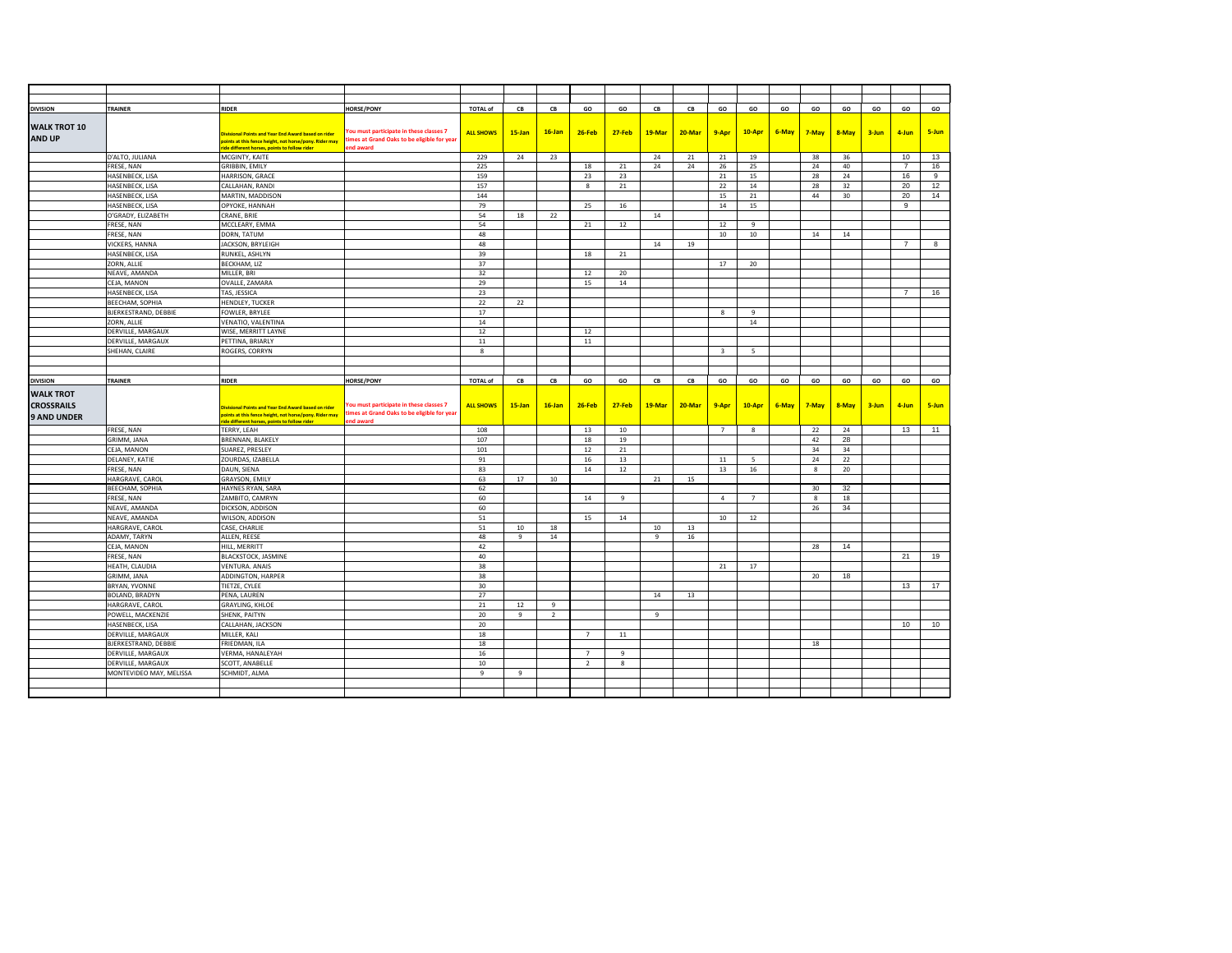| <b>DIVISION</b>                       | TRAINER                     | <b>RIDER</b>                                                                                                                                              | <b>HORSE/PONY</b>                                                                      | <b>TOTAL of</b>  | CB           | ${\sf CB}$ | GO             | GO            | ${\sf CB}$ | CB     | GO                      | GO             | GO    | GO           | GO        | GO        | GO             | GO           |
|---------------------------------------|-----------------------------|-----------------------------------------------------------------------------------------------------------------------------------------------------------|----------------------------------------------------------------------------------------|------------------|--------------|------------|----------------|---------------|------------|--------|-------------------------|----------------|-------|--------------|-----------|-----------|----------------|--------------|
|                                       |                             |                                                                                                                                                           |                                                                                        |                  |              |            |                |               |            |        |                         |                |       |              |           |           |                |              |
| <b>WALK TROT 10</b>                   |                             |                                                                                                                                                           | You must participate in these classes 7                                                |                  |              |            |                |               |            | 20-Mar |                         |                |       |              |           |           |                |              |
| <b>AND UP</b>                         |                             | Divisional Points and Year End Award based on rider<br>points at this fence height, not horse/pony. Rider may limes at Grand Oaks to be eligible for year |                                                                                        | <b>ALL SHOWS</b> | $15$ -Jan    | $16$ -Jan  | $26 - Feb$     | <b>27-Feb</b> | 19-Mar     |        | 9-Apr                   | 10-Apr         | 6-May | 7-May        | 8-May     | 3-Jun     | 4-Jun          | 5-Jun        |
|                                       |                             | ide different horses, points to follow rider                                                                                                              | end award                                                                              |                  |              |            |                |               |            |        |                         |                |       |              |           |           |                |              |
|                                       | D'ALTO, JULIANA             | MCGINTY, KAITE                                                                                                                                            |                                                                                        | 229              | 24           | 23         |                |               | 24         | 21     | 21                      | 19             |       | 38           | 36        |           | 10             | 13           |
|                                       | FRESE, NAN                  | GRIBBIN, EMILY                                                                                                                                            |                                                                                        | 225              |              |            | 18             | 21            | 24         | 24     | 26                      | 25             |       | 24           | 40        |           | $\overline{7}$ | 16           |
|                                       | HASENBECK, LISA             | HARRISON, GRACE                                                                                                                                           |                                                                                        | 159              |              |            | 23             | 23            |            |        | 21                      | 15             |       | 28           | 24        |           | 16             | $\mathbf{q}$ |
|                                       | HASENBECK, LISA             | CALLAHAN, RANDI                                                                                                                                           |                                                                                        | 157              |              |            | 8              | 21            |            |        | 22                      | 14             |       | 28           | 32        |           | 20             | 12           |
|                                       | HASENBECK, LISA             | MARTIN, MADDISON                                                                                                                                          |                                                                                        | 144              |              |            |                |               |            |        | 15                      | 21             |       | 44           | 30        |           | 20             | 14           |
|                                       | HASENBECK, LISA             | OPYOKE, HANNAH                                                                                                                                            |                                                                                        | 79               |              |            | 25             | 16            |            |        | 14                      | 15             |       |              |           |           | 9              |              |
|                                       | O'GRADY, ELIZABETH          | CRANE, BRIE                                                                                                                                               |                                                                                        | 54               | 18           | 22         |                |               | 14         |        |                         |                |       |              |           |           |                |              |
|                                       | FRESE, NAN                  | MCCLEARY, EMMA                                                                                                                                            |                                                                                        | 54               |              |            | 21             | 12            |            |        | 12                      | $\mathbf{q}$   |       |              |           |           |                |              |
|                                       | FRESE, NAN                  | DORN, TATUM                                                                                                                                               |                                                                                        | 48               |              |            |                |               |            |        | 10                      | 10             |       | 14           | 14        |           |                |              |
|                                       | VICKERS, HANNA              | JACKSON, BRYLEIGH                                                                                                                                         |                                                                                        | 48               |              |            |                |               | 14         | 19     |                         |                |       |              |           |           | $\overline{7}$ | 8            |
|                                       | HASENBECK, LISA             | RUNKEL, ASHLYN                                                                                                                                            |                                                                                        | 39               |              |            | 18             | 21            |            |        |                         |                |       |              |           |           |                |              |
|                                       | ZORN, ALLIE                 | BECKHAM, LIZ                                                                                                                                              |                                                                                        | 37               |              |            |                |               |            |        | 17                      | 20             |       |              |           |           |                |              |
|                                       | NEAVE, AMANDA               | MILLER, BRI                                                                                                                                               |                                                                                        | 32               |              |            | 12             | 20            |            |        |                         |                |       |              |           |           |                |              |
|                                       | CEJA, MANON                 | OVALLE, ZAMARA                                                                                                                                            |                                                                                        | 29               |              |            | 15             | 14            |            |        |                         |                |       |              |           |           |                |              |
|                                       | HASENBECK, LISA             | TAS, JESSICA                                                                                                                                              |                                                                                        | 23               |              |            |                |               |            |        |                         |                |       |              |           |           | $\overline{7}$ | 16           |
|                                       | BEECHAM, SOPHIA             | <b>HENDLEY, TUCKER</b>                                                                                                                                    |                                                                                        | 22               | 22           |            |                |               |            |        |                         |                |       |              |           |           |                |              |
|                                       | <b>BJERKESTRAND, DEBBIE</b> | FOWLER, BRYLEE                                                                                                                                            |                                                                                        | 17               |              |            |                |               |            |        | 8                       | $\alpha$       |       |              |           |           |                |              |
|                                       | ZORN, ALLIE                 | VENATIO, VALENTINA                                                                                                                                        |                                                                                        | 14               |              |            |                |               |            |        |                         | 14             |       |              |           |           |                |              |
|                                       | DERVILLE, MARGAUX           | WISE, MERRITT LAYNE                                                                                                                                       |                                                                                        | 12               |              |            | 12             |               |            |        |                         |                |       |              |           |           |                |              |
|                                       | DERVILLE, MARGAUX           | PETTINA, BRIARLY                                                                                                                                          |                                                                                        | 11               |              |            | 11             |               |            |        |                         |                |       |              |           |           |                |              |
|                                       | SHEHAN, CLAIRE              | ROGERS, CORRYN                                                                                                                                            |                                                                                        | $_{\rm 8}$       |              |            |                |               |            |        | $\overline{\mathbf{3}}$ | - 5            |       |              |           |           |                |              |
|                                       |                             |                                                                                                                                                           |                                                                                        |                  |              |            |                |               |            |        |                         |                |       |              |           |           |                |              |
|                                       |                             |                                                                                                                                                           |                                                                                        |                  |              |            |                |               |            |        |                         |                |       |              |           |           |                |              |
| <b>DIVISION</b>                       |                             |                                                                                                                                                           |                                                                                        |                  |              |            |                |               |            |        |                         |                |       |              |           |           |                |              |
|                                       | TRAINER                     | <b>RIDER</b>                                                                                                                                              | <b>HORSE/PONY</b>                                                                      | <b>TOTAL of</b>  | CB           | CB         | GO             | GO            | CB         | CB     | GO                      | GO             | GO    | GO           | GO        | GO        | GO             | GO           |
|                                       |                             |                                                                                                                                                           |                                                                                        |                  |              |            |                |               |            |        |                         |                |       |              |           |           |                |              |
|                                       |                             |                                                                                                                                                           |                                                                                        |                  |              |            |                |               |            |        |                         |                |       |              |           |           |                |              |
| <b>WALK TROT</b><br><b>CROSSRAILS</b> |                             | Divisional Points and Year End Award based on rider                                                                                                       | You must participate in these classes 7<br>times at Grand Oaks to be eligible for year | <b>ALL SHOWS</b> | 15-Jan       | $16$ -Jan  | $26 - Feb$     | <b>27-Feb</b> | 19-Mar     | 20-Mar | 9-Apr                   | 10-Apr         | 6-May | 7-May        | $8 - May$ | $3 - Jun$ | 4-Jun          | 5-Jun        |
|                                       |                             | points at this fence height, not horse/pony. Rider may<br>ide different horses, points to follow rider                                                    | end award                                                                              |                  |              |            |                |               |            |        |                         |                |       |              |           |           |                |              |
|                                       | FRESE, NAN                  | TERRY, LEAH                                                                                                                                               |                                                                                        | 108              |              |            | 13             | 10            |            |        | $\overline{7}$          | $_{\rm 8}$     |       | 22           | 24        |           | 13             | 11           |
|                                       | GRIMM, JANA                 | BRENNAN, BLAKELY                                                                                                                                          |                                                                                        | 107              |              |            | 18             | 19            |            |        |                         |                |       | 42           | 28        |           |                |              |
|                                       | CEJA, MANON                 | SUAREZ, PRESLEY                                                                                                                                           |                                                                                        | 101              |              |            | 12             | 21            |            |        |                         |                |       | 34           | 34        |           |                |              |
|                                       | DELANEY, KATIE              | ZOURDAS, IZABELLA                                                                                                                                         |                                                                                        | 91               |              |            | 16             | 13            |            |        | 11                      | 5 <sup>5</sup> |       | 24           | 22        |           |                |              |
|                                       | FRESE, NAN                  | DAUN, SIENA                                                                                                                                               |                                                                                        | 83               |              |            | 14             | 12            |            |        | 13                      | 16             |       | 8            | 20        |           |                |              |
|                                       | HARGRAVE, CAROL             | GRAYSON, EMILY                                                                                                                                            |                                                                                        | 63               | 17           | 10         |                |               | 21         | 15     |                         |                |       |              |           |           |                |              |
|                                       | BEECHAM, SOPHIA             | HAYNES RYAN, SARA                                                                                                                                         |                                                                                        | 62               |              |            |                |               |            |        |                         |                |       | 30           | 32        |           |                |              |
|                                       | FRESE, NAN                  | ZAMBITO, CAMRYN                                                                                                                                           |                                                                                        | 60               |              |            | 14             | 9             |            |        | $\overline{4}$          | $\overline{7}$ |       | $\mathbf{R}$ | 18        |           |                |              |
| <b>9 AND UNDER</b>                    | NEAVE, AMANDA               | DICKSON, ADDISON                                                                                                                                          |                                                                                        | 60               |              |            |                |               |            |        |                         |                |       | 26           | 34        |           |                |              |
|                                       | NEAVE, AMANDA               | WILSON, ADDISON                                                                                                                                           |                                                                                        | 51               |              |            | 15             | 14            |            |        | 10                      | 12             |       |              |           |           |                |              |
|                                       | HARGRAVE, CAROL             | CASE, CHARLIE                                                                                                                                             |                                                                                        | 51               | 10           | 18         |                |               | 10         | 13     |                         |                |       |              |           |           |                |              |
|                                       | ADAMY, TARYN                | ALLEN, REESE                                                                                                                                              |                                                                                        | 48               | $\mathbf{q}$ | 14         |                |               | 9          | 16     |                         |                |       |              |           |           |                |              |
|                                       | CEJA, MANON                 | HILL, MERRITT                                                                                                                                             |                                                                                        | 42               |              |            |                |               |            |        |                         |                |       | 28           | 14        |           |                |              |
|                                       | FRESE, NAN                  | <b>BLACKSTOCK, JASMINE</b>                                                                                                                                |                                                                                        | 40               |              |            |                |               |            |        |                         |                |       |              |           |           | 21             | 19           |
|                                       | HEATH, CLAUDIA              | <b>VENTURA. ANAIS</b>                                                                                                                                     |                                                                                        | 38               |              |            |                |               |            |        | 21                      | 17             |       |              |           |           |                |              |
|                                       | GRIMM, JANA                 | ADDINGTON, HARPER                                                                                                                                         |                                                                                        | 38               |              |            |                |               |            |        |                         |                |       | 20           | 18        |           |                |              |
|                                       | BRYAN, YVONNE               | TIETZE, CYLEE                                                                                                                                             |                                                                                        | 30               |              |            |                |               |            |        |                         |                |       |              |           |           | 13             | 17           |
|                                       | BOLAND, BRADYN              | PENA, LAUREN                                                                                                                                              |                                                                                        | 27               |              |            |                |               | 14         | 13     |                         |                |       |              |           |           |                |              |
|                                       | HARGRAVE, CAROL             | <b>GRAYLING, KHLOE</b>                                                                                                                                    |                                                                                        | 21               | 12           | 9          |                |               |            |        |                         |                |       |              |           |           |                |              |
|                                       | POWELL, MACKENZIE           | SHENK, PAITYN                                                                                                                                             |                                                                                        | 20               | 9            | 2          |                |               | 9          |        |                         |                |       |              |           |           |                |              |
|                                       | HASENBECK, LISA             | CALLAHAN, JACKSON                                                                                                                                         |                                                                                        | 20               |              |            |                |               |            |        |                         |                |       |              |           |           | 10             | 10           |
|                                       | DERVILLE, MARGAUX           | MILLER, KALI                                                                                                                                              |                                                                                        | 18               |              |            | 7              | 11            |            |        |                         |                |       |              |           |           |                |              |
|                                       | <b>BJERKESTRAND, DEBBIE</b> | FRIEDMAN, ILA                                                                                                                                             |                                                                                        | 18               |              |            |                |               |            |        |                         |                |       | 18           |           |           |                |              |
|                                       | DERVILLE, MARGAUX           | VERMA, HANALEYAH                                                                                                                                          |                                                                                        | 16               |              |            | $\overline{7}$ | Q             |            |        |                         |                |       |              |           |           |                |              |
|                                       | DERVILLE, MARGAUX           | SCOTT, ANABELLE                                                                                                                                           |                                                                                        | 10               |              |            | 2              | 8             |            |        |                         |                |       |              |           |           |                |              |
|                                       | MONTEVIDEO MAY, MELISSA     | SCHMIDT, ALMA                                                                                                                                             |                                                                                        | 9                | 9            |            |                |               |            |        |                         |                |       |              |           |           |                |              |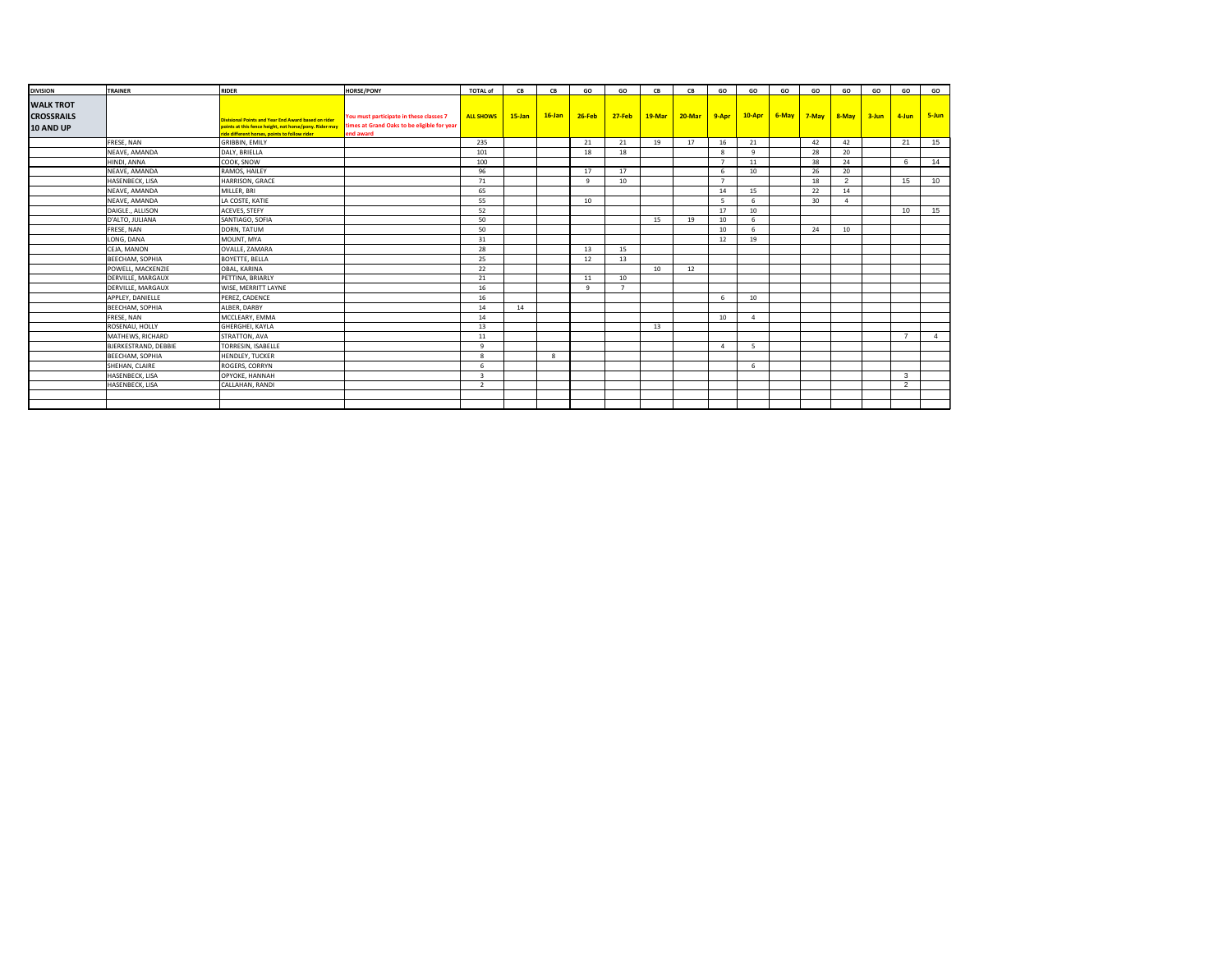| <b>DIVISION</b>                                    | TRAINER              | <b>RIDER</b>                                                                                                                                                          | <b>HORSE/PONY</b>                                                                                   | <b>TOTAL of</b>  | CB        | CB        | GO           | GO             | CB     | CB     | GO             | GO           | GO    | GO        | GO             | GO        | GO             | GO             |
|----------------------------------------------------|----------------------|-----------------------------------------------------------------------------------------------------------------------------------------------------------------------|-----------------------------------------------------------------------------------------------------|------------------|-----------|-----------|--------------|----------------|--------|--------|----------------|--------------|-------|-----------|----------------|-----------|----------------|----------------|
| <b>WALK TROT</b><br><b>CROSSRAILS</b><br>10 AND UP |                      | <b>Divisional Points and Year End Award based on rider</b><br>points at this fence height, not horse/pony. Rider may<br>ride different horses, points to follow rider | You must participate in these classes 7<br>times at Grand Oaks to be eligible for year<br>end award | <b>ALL SHOWS</b> | $15$ -Jan | $16$ -Jan | $26 - Feb$   | $27-Feb$       | 19-Mar | 20-Mar | $9 - Apr$      | $10-Apr$     | 6-May | $7 - May$ | $8 - May$      | $3 - Jun$ | 4-Jun          | 5-Jun          |
|                                                    | FRESE, NAN           | GRIBBIN, EMILY                                                                                                                                                        |                                                                                                     | 235              |           |           | 21           | 21             | 19     | 17     | 16             | 21           |       | 42        | 42             |           | 21             | 15             |
|                                                    | NEAVE, AMANDA        | DALY, BRIELLA                                                                                                                                                         |                                                                                                     | 101              |           |           | 18           | 18             |        |        | 8              | $\mathbf{q}$ |       | 28        | 20             |           |                |                |
|                                                    | HINDI, ANNA          | COOK, SNOW                                                                                                                                                            |                                                                                                     | 100              |           |           |              |                |        |        | $\overline{7}$ | 11           |       | 38        | 24             |           | 6              | 14             |
|                                                    | NEAVE, AMANDA        | RAMOS, HAILEY                                                                                                                                                         |                                                                                                     | 96               |           |           | 17           | 17             |        |        | 6              | 10           |       | 26        | 20             |           |                |                |
|                                                    | HASENBECK, LISA      | HARRISON, GRACE                                                                                                                                                       |                                                                                                     | 71               |           |           | $\mathbf{q}$ | 10             |        |        | $\overline{7}$ |              |       | 18        | $\overline{2}$ |           | 15             | 10             |
|                                                    | NEAVE, AMANDA        | MILLER, BRI                                                                                                                                                           |                                                                                                     | 65               |           |           |              |                |        |        | 14             | 15           |       | 22        | 14             |           |                |                |
|                                                    | NEAVE, AMANDA        | LA COSTE, KATIE                                                                                                                                                       |                                                                                                     | 55               |           |           | 10           |                |        |        | 5              |              |       | 30        | $\Lambda$      |           |                |                |
|                                                    | DAIGLE., ALLISON     | ACEVES, STEFY                                                                                                                                                         |                                                                                                     | 52               |           |           |              |                |        |        | 17             | 10           |       |           |                |           | 10             | 15             |
|                                                    | D'ALTO, JULIANA      | SANTIAGO, SOFIA                                                                                                                                                       |                                                                                                     | 50               |           |           |              |                | 15     | 19     | 10             | 6            |       |           |                |           |                |                |
|                                                    | FRESE, NAN           | DORN, TATUM                                                                                                                                                           |                                                                                                     | 50               |           |           |              |                |        |        | 10             | 6            |       | 24        | 10             |           |                |                |
|                                                    | LONG, DANA           | MOUNT, MYA                                                                                                                                                            |                                                                                                     | 31               |           |           |              |                |        |        | 12             | 19           |       |           |                |           |                |                |
|                                                    | CEJA, MANON          | OVALLE, ZAMARA                                                                                                                                                        |                                                                                                     | 28               |           |           | 13           | 15             |        |        |                |              |       |           |                |           |                |                |
|                                                    | BEECHAM, SOPHIA      | BOYETTE, BELLA                                                                                                                                                        |                                                                                                     | 25               |           |           | 12           | 13             |        |        |                |              |       |           |                |           |                |                |
|                                                    | POWELL, MACKENZIE    | OBAL, KARINA                                                                                                                                                          |                                                                                                     | 22               |           |           |              |                | 10     | 12     |                |              |       |           |                |           |                |                |
|                                                    | DERVILLE, MARGAUX    | PETTINA, BRIARLY                                                                                                                                                      |                                                                                                     | 21               |           |           | 11           | 10             |        |        |                |              |       |           |                |           |                |                |
|                                                    | DERVILLE, MARGAUX    | WISE, MERRITT LAYNE                                                                                                                                                   |                                                                                                     | 16               |           |           | $\alpha$     | $\overline{7}$ |        |        |                |              |       |           |                |           |                |                |
|                                                    | APPLEY, DANIELLE     | PEREZ, CADENCE                                                                                                                                                        |                                                                                                     | 16               |           |           |              |                |        |        | 6              | 10           |       |           |                |           |                |                |
|                                                    | BEECHAM, SOPHIA      | ALBER, DARBY                                                                                                                                                          |                                                                                                     | 14               | 14        |           |              |                |        |        |                |              |       |           |                |           |                |                |
|                                                    | FRESE, NAN           | MCCLEARY, EMMA                                                                                                                                                        |                                                                                                     | 14               |           |           |              |                |        |        | 10             | $\Delta$     |       |           |                |           |                |                |
|                                                    | ROSENAU, HOLLY       | GHERGHEI, KAYLA                                                                                                                                                       |                                                                                                     | 13               |           |           |              |                | 13     |        |                |              |       |           |                |           |                |                |
|                                                    | MATHEWS, RICHARD     | STRATTON, AVA                                                                                                                                                         |                                                                                                     | 11               |           |           |              |                |        |        |                |              |       |           |                |           | $\overline{7}$ | $\overline{4}$ |
|                                                    | BJERKESTRAND, DEBBIE | TORRESIN, ISABELLE                                                                                                                                                    |                                                                                                     | $\mathbf{q}$     |           |           |              |                |        |        | $\overline{a}$ | 5            |       |           |                |           |                |                |
|                                                    | BEECHAM, SOPHIA      | HENDLEY, TUCKER                                                                                                                                                       |                                                                                                     | $\mathbf{R}$     |           | 8         |              |                |        |        |                |              |       |           |                |           |                |                |
|                                                    | SHEHAN, CLAIRE       | ROGERS, CORRYN                                                                                                                                                        |                                                                                                     | 6                |           |           |              |                |        |        |                | 6            |       |           |                |           |                |                |
|                                                    | HASENBECK, LISA      | OPYOKE, HANNAH                                                                                                                                                        |                                                                                                     | $\overline{3}$   |           |           |              |                |        |        |                |              |       |           |                |           | $\mathbf{3}$   |                |
|                                                    | HASENBECK, LISA      | CALLAHAN, RANDI                                                                                                                                                       |                                                                                                     | $\overline{2}$   |           |           |              |                |        |        |                |              |       |           |                |           | 2              |                |
|                                                    |                      |                                                                                                                                                                       |                                                                                                     |                  |           |           |              |                |        |        |                |              |       |           |                |           |                |                |
|                                                    |                      |                                                                                                                                                                       |                                                                                                     |                  |           |           |              |                |        |        |                |              |       |           |                |           |                |                |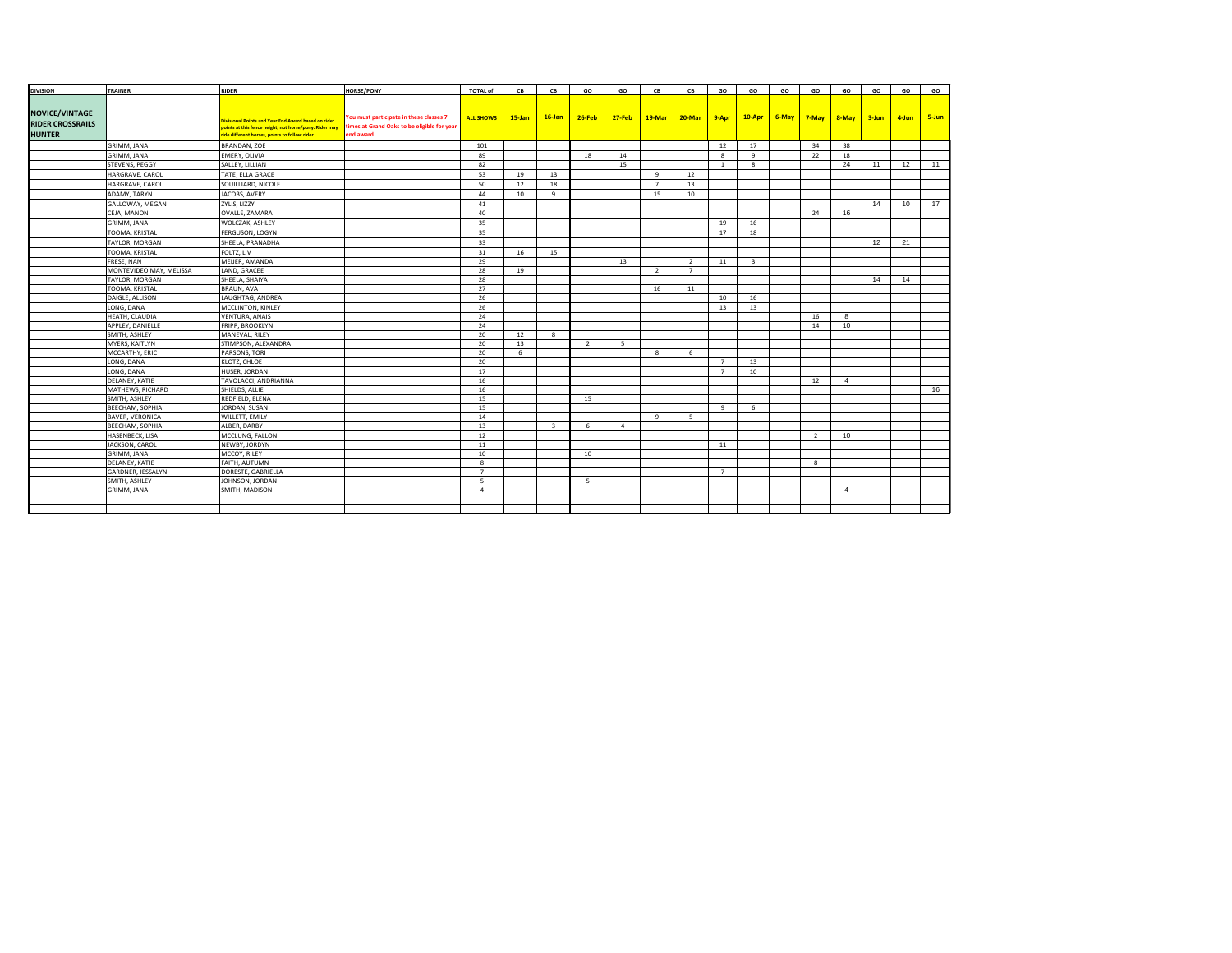| <b>DIVISION</b>         | TRAINER                           | <b>RIDER</b>                                                                                            | <b>HORSE/PONY</b>                                        | <b>TOTAL of</b>       | CB         | <b>CB</b>               | GO             | GO             | CB                  | CB             | GO             | GO                      | GO                               | GO | GO             | GO | GO    | GO    |
|-------------------------|-----------------------------------|---------------------------------------------------------------------------------------------------------|----------------------------------------------------------|-----------------------|------------|-------------------------|----------------|----------------|---------------------|----------------|----------------|-------------------------|----------------------------------|----|----------------|----|-------|-------|
|                         |                                   |                                                                                                         |                                                          |                       |            |                         |                |                |                     |                |                |                         |                                  |    |                |    |       |       |
| <b>NOVICE/VINTAGE</b>   |                                   |                                                                                                         |                                                          |                       |            |                         |                |                |                     |                |                |                         |                                  |    |                |    |       |       |
| <b>RIDER CROSSRAILS</b> |                                   | Divisional Points and Year End Award based on rider                                                     | You must participate in these classes 7                  | <b>ALL SHOWS</b>      | $15 - Jan$ | $16$ -Jan               | $26 - Feb$     | $27 - Feb$     | 19-Mar              | 20-Mar         | 9-Apr          |                         | $10-Apr$ 6-May 7-May 8-May 3-Jun |    |                |    | 4-Jun | 5-Jun |
| <b>HUNTER</b>           |                                   | points at this fence height, not horse/pony. Rider may<br>ride different horses, points to follow rider | times at Grand Oaks to be eligible for year<br>end award |                       |            |                         |                |                |                     |                |                |                         |                                  |    |                |    |       |       |
|                         | GRIMM, JANA                       | BRANDAN, ZOE                                                                                            |                                                          | 101                   |            |                         |                |                |                     |                | 12             | 17                      |                                  | 34 | 38             |    |       |       |
|                         | GRIMM, JANA                       | EMERY, OLIVIA                                                                                           |                                                          | 89                    |            |                         | 18             | 14             |                     |                | 8              | 9                       |                                  | 22 | 18             |    |       |       |
|                         | STEVENS, PEGGY                    | SALLEY, LILLIAN                                                                                         |                                                          | 82                    |            |                         |                | 15             |                     |                | <sup>1</sup>   | 8                       |                                  |    | 24             | 11 | 12    | 11    |
|                         |                                   |                                                                                                         |                                                          |                       |            |                         |                |                |                     |                |                |                         |                                  |    |                |    |       |       |
|                         | HARGRAVE, CAROL                   | TATE, ELLA GRACE                                                                                        |                                                          | 53<br>50              | 19<br>12   | 13                      |                |                | 9<br>$\overline{7}$ | 12             |                |                         |                                  |    |                |    |       |       |
|                         | HARGRAVE, CAROL                   | SOUILLIARD, NICOLE                                                                                      |                                                          |                       |            | 18                      |                |                |                     | 13             |                |                         |                                  |    |                |    |       |       |
|                         | ADAMY, TARYN                      | JACOBS, AVERY                                                                                           |                                                          | 44                    | 10         | -9                      |                |                | 15                  | 10             |                |                         |                                  |    |                |    |       |       |
|                         | GALLOWAY, MEGAN                   | ZYLIS, LIZZY                                                                                            |                                                          | 41                    |            |                         |                |                |                     |                |                |                         |                                  |    |                | 14 | 10    | 17    |
|                         | CEJA, MANON                       | OVALLE, ZAMARA                                                                                          |                                                          | 40                    |            |                         |                |                |                     |                |                |                         |                                  | 24 | 16             |    |       |       |
|                         | GRIMM, JANA                       | WOLCZAK, ASHLEY                                                                                         |                                                          | 35                    |            |                         |                |                |                     |                | 19             | 16                      |                                  |    |                |    |       |       |
|                         | TOOMA, KRISTAL                    | FERGUSON, LOGYN                                                                                         |                                                          | 35                    |            |                         |                |                |                     |                | 17             | 18                      |                                  |    |                |    |       |       |
|                         | TAYLOR, MORGAN                    | SHEELA, PRANADHA                                                                                        |                                                          | 33                    |            |                         |                |                |                     |                |                |                         |                                  |    |                | 12 | 21    |       |
|                         | TOOMA, KRISTAL                    | FOLTZ, LIV                                                                                              |                                                          | 31                    | 16         | 15                      |                |                |                     |                |                |                         |                                  |    |                |    |       |       |
|                         | FRESE, NAN                        | MEIJER, AMANDA                                                                                          |                                                          | 29                    |            |                         |                | 13             |                     | $\overline{2}$ | 11             | $\overline{\mathbf{3}}$ |                                  |    |                |    |       |       |
|                         | MONTEVIDEO MAY, MELISSA           | LAND, GRACEE                                                                                            |                                                          | 28                    | 19         |                         |                |                | <sup>2</sup>        | $\overline{7}$ |                |                         |                                  |    |                |    |       |       |
|                         | TAYLOR, MORGAN                    | SHEELA, SHAIYA                                                                                          |                                                          | 28                    |            |                         |                |                |                     |                |                |                         |                                  |    |                | 14 | 14    |       |
|                         | TOOMA, KRISTAL                    | BRAUN, AVA                                                                                              |                                                          | 27                    |            |                         |                |                | 16                  | 11             |                |                         |                                  |    |                |    |       |       |
|                         | DAIGLE, ALLISON                   | LAUGHTAG, ANDREA                                                                                        |                                                          | 26                    |            |                         |                |                |                     |                | 10             | 16                      |                                  |    |                |    |       |       |
|                         | LONG, DANA                        | MCCLINTON, KINLEY                                                                                       |                                                          | 26                    |            |                         |                |                |                     |                | 13             | 13                      |                                  |    |                |    |       |       |
|                         | HEATH, CLAUDIA                    | <b>VENTURA, ANAIS</b>                                                                                   |                                                          | 24                    |            |                         |                |                |                     |                |                |                         |                                  | 16 | 8              |    |       |       |
|                         | APPLEY, DANIELLE                  | FRIPP, BROOKLYN                                                                                         |                                                          | 24                    |            |                         |                |                |                     |                |                |                         |                                  | 14 | 10             |    |       |       |
|                         | SMITH, ASHLEY                     | MANEVAL, RILEY                                                                                          |                                                          | 20                    | 12         | 8                       |                |                |                     |                |                |                         |                                  |    |                |    |       |       |
|                         | MYERS, KAITLYN                    | STIMPSON, ALEXANDRA                                                                                     |                                                          | 20                    | 13         |                         | $\overline{2}$ | $5^{\circ}$    |                     |                |                |                         |                                  |    |                |    |       |       |
|                         | MCCARTHY, ERIC                    | PARSONS, TORI                                                                                           |                                                          | 20                    | 6          |                         |                |                | 8                   | 6              |                |                         |                                  |    |                |    |       |       |
|                         | LONG, DANA                        | KLOTZ, CHLOE                                                                                            |                                                          | 20                    |            |                         |                |                |                     |                | $\overline{7}$ | 13                      |                                  |    |                |    |       |       |
|                         | LONG, DANA                        | HUSER, JORDAN                                                                                           |                                                          | 17                    |            |                         |                |                |                     |                | $\overline{7}$ | 10                      |                                  |    |                |    |       |       |
|                         | DELANEY, KATIE                    | TAVOLACCI, ANDRIANNA                                                                                    |                                                          | 16                    |            |                         |                |                |                     |                |                |                         |                                  | 12 | $\overline{4}$ |    |       |       |
|                         | MATHEWS, RICHARD                  | SHIELDS, ALLIE                                                                                          |                                                          | 16                    |            |                         |                |                |                     |                |                |                         |                                  |    |                |    |       | 16    |
|                         | SMITH, ASHLEY                     | REDFIELD, ELENA                                                                                         |                                                          | 15                    |            |                         | 15             |                |                     |                |                |                         |                                  |    |                |    |       |       |
|                         | BEECHAM, SOPHIA                   | JORDAN, SUSAN                                                                                           |                                                          | 15                    |            |                         |                |                |                     |                | 9              | 6                       |                                  |    |                |    |       |       |
|                         | <b>BAVER, VERONICA</b>            | WILLETT, EMILY                                                                                          |                                                          | 14                    |            |                         |                |                | 9                   | 5              |                |                         |                                  |    |                |    |       |       |
|                         | BEECHAM, SOPHIA                   | ALBER, DARBY                                                                                            |                                                          | 13                    |            | $\overline{\mathbf{3}}$ | 6              | $\overline{a}$ |                     |                |                |                         |                                  |    |                |    |       |       |
|                         | HASENBECK, LISA<br>JACKSON, CAROL | MCCLUNG, FALLON                                                                                         |                                                          | 12<br>11              |            |                         |                |                |                     |                | 11             |                         |                                  | 2  | 10             |    |       |       |
|                         |                                   | NEWBY, JORDYN                                                                                           |                                                          |                       |            |                         |                |                |                     |                |                |                         |                                  |    |                |    |       |       |
|                         | GRIMM, JANA                       | MCCOY, RILEY                                                                                            |                                                          | 10                    |            |                         | 10             |                |                     |                |                |                         |                                  |    |                |    |       |       |
|                         | DELANEY, KATIE                    | FAITH, AUTUMN                                                                                           |                                                          | 8<br>$\overline{7}$   |            |                         |                |                |                     |                |                |                         |                                  | 8  |                |    |       |       |
|                         | GARDNER, JESSALYN                 | DORESTE, GABRIELLA                                                                                      |                                                          |                       |            |                         |                |                |                     |                | 7              |                         |                                  |    |                |    |       |       |
|                         | SMITH, ASHLEY                     | JOHNSON, JORDAN                                                                                         |                                                          | - 5<br>$\overline{a}$ |            |                         | - 5            |                |                     |                |                |                         |                                  |    |                |    |       |       |
|                         | GRIMM, JANA                       | SMITH, MADISON                                                                                          |                                                          |                       |            |                         |                |                |                     |                |                |                         |                                  |    | $\overline{4}$ |    |       |       |
|                         |                                   |                                                                                                         |                                                          |                       |            |                         |                |                |                     |                |                |                         |                                  |    |                |    |       |       |
|                         |                                   |                                                                                                         |                                                          |                       |            |                         |                |                |                     |                |                |                         |                                  |    |                |    |       |       |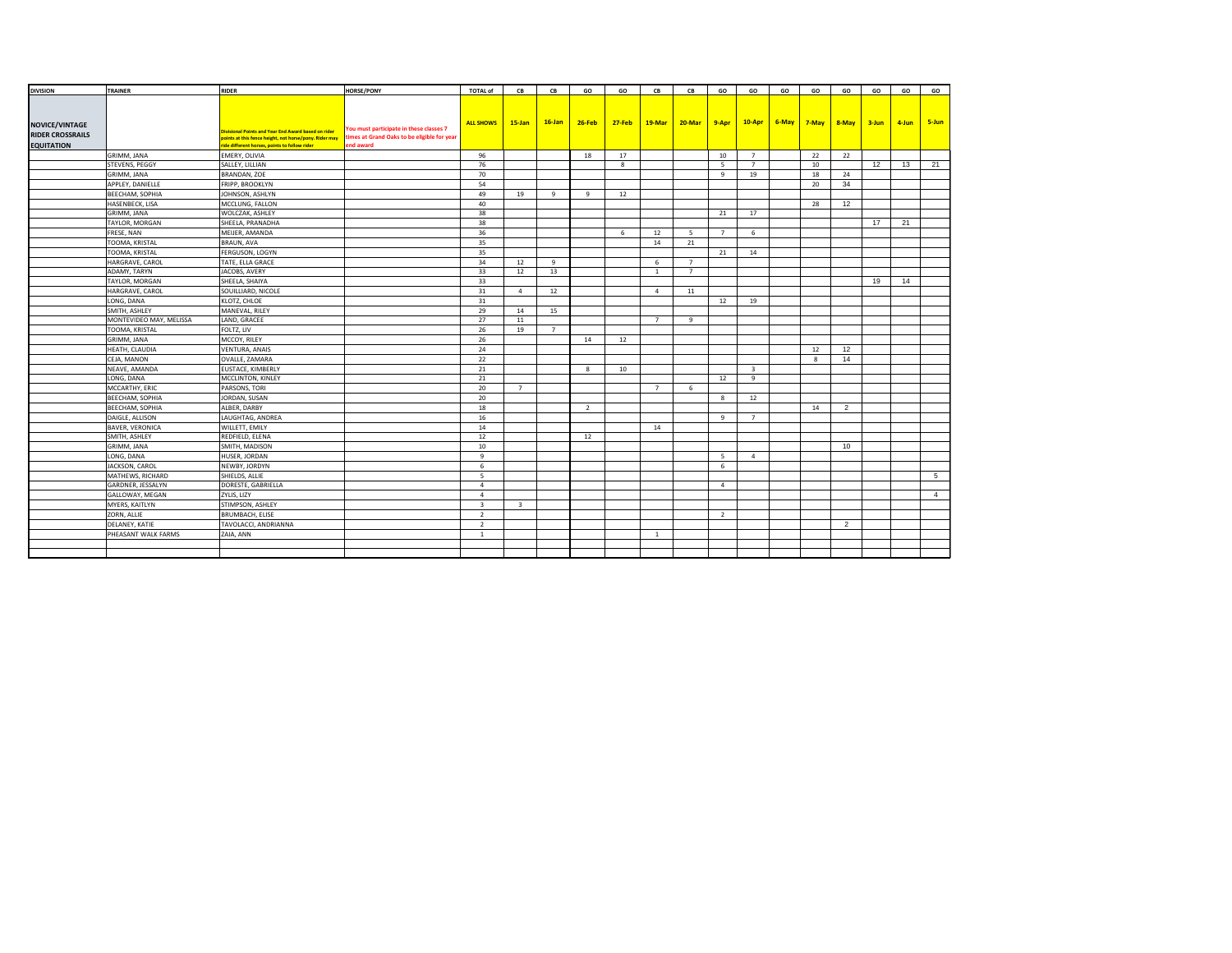| <b>DIVISION</b>         | TRAINER                 | <b>RIDER</b>                                           | <b>HORSE/PONY</b>                           | <b>TOTAL of</b>  | CB             | CB        | GO         | GO            | CB             | CB             | GO             | GO                      | GO | GO | GO                                             | GO | GO    | GO              |
|-------------------------|-------------------------|--------------------------------------------------------|---------------------------------------------|------------------|----------------|-----------|------------|---------------|----------------|----------------|----------------|-------------------------|----|----|------------------------------------------------|----|-------|-----------------|
|                         |                         |                                                        |                                             |                  |                |           |            |               |                |                |                |                         |    |    |                                                |    |       |                 |
|                         |                         |                                                        |                                             |                  |                |           |            |               |                |                |                |                         |    |    |                                                |    |       |                 |
|                         |                         |                                                        |                                             | <b>ALL SHOWS</b> | $15$ -Jan      | $16$ -Jan | $26 - Feb$ | <b>27-Feb</b> | $19$ -Mar      |                |                |                         |    |    | $20$ -Mar 9-Apr 10-Apr 6-May 7-May 8-May 3-Jun |    | 4-Jun | 5-Jun           |
| <b>NOVICE/VINTAGE</b>   |                         | Vivisional Points and Year End Award based on rider    | You must participate in these classes 7     |                  |                |           |            |               |                |                |                |                         |    |    |                                                |    |       |                 |
| <b>RIDER CROSSRAILS</b> |                         | points at this fence height, not horse/pony. Rider may | times at Grand Oaks to be eligible for year |                  |                |           |            |               |                |                |                |                         |    |    |                                                |    |       |                 |
| <b>EQUITATION</b>       |                         | ride different horses, points to follow rider          | end award                                   |                  |                |           |            |               |                |                |                |                         |    |    |                                                |    |       |                 |
|                         | GRIMM, JANA             | EMERY, OLIVIA                                          |                                             | 96               |                |           | 18         | 17            |                |                | 10             | $\overline{7}$          |    | 22 | 22                                             |    |       |                 |
|                         | STEVENS, PEGGY          | SALLEY, LILLIAN                                        |                                             | 76               |                |           |            | 8             |                |                | -5             | $\overline{7}$          |    | 10 |                                                | 12 | 13    | 21              |
|                         | GRIMM, JANA             | BRANDAN, ZOE                                           |                                             | 70               |                |           |            |               |                |                | $\mathbf{q}$   | 19                      |    | 18 | 24                                             |    |       |                 |
|                         | APPLEY, DANIELLE        | FRIPP, BROOKLYN                                        |                                             | 54               |                |           |            |               |                |                |                |                         |    | 20 | 34                                             |    |       |                 |
|                         | BEECHAM, SOPHIA         | JOHNSON, ASHLYN                                        |                                             | 49               | 19             | 9         | 9          | 12            |                |                |                |                         |    |    |                                                |    |       |                 |
|                         | HASENBECK, LISA         | MCCLUNG, FALLON                                        |                                             | 40               |                |           |            |               |                |                |                |                         |    | 28 | 12                                             |    |       |                 |
|                         | GRIMM, JANA             | WOLCZAK, ASHLEY                                        |                                             | 38               |                |           |            |               |                |                | 21             | 17                      |    |    |                                                |    |       |                 |
|                         | TAYLOR, MORGAN          | SHEELA, PRANADHA                                       |                                             | 38               |                |           |            |               |                |                |                |                         |    |    |                                                | 17 | 21    |                 |
|                         | FRESE, NAN              | MEIJER, AMANDA                                         |                                             | 36               |                |           |            | 6             | 12             | - 5            | $\overline{7}$ | 6                       |    |    |                                                |    |       |                 |
|                         | TOOMA, KRISTAL          | BRAUN, AVA                                             |                                             | 35               |                |           |            |               | 14             | 21             |                |                         |    |    |                                                |    |       |                 |
|                         | TOOMA, KRISTAL          | FERGUSON, LOGYN                                        |                                             | 35               |                |           |            |               |                |                | 21             | 14                      |    |    |                                                |    |       |                 |
|                         | HARGRAVE, CAROL         | TATE, ELLA GRACE                                       |                                             | 34               | 12             | 9         |            |               | 6              | $\overline{7}$ |                |                         |    |    |                                                |    |       |                 |
|                         | ADAMY, TARYN            | JACOBS, AVERY                                          |                                             | 33               | 12             | 13        |            |               | <sup>1</sup>   | $\overline{7}$ |                |                         |    |    |                                                |    |       |                 |
|                         | TAYLOR, MORGAN          | SHEELA, SHAIYA                                         |                                             | 33               |                |           |            |               |                |                |                |                         |    |    |                                                | 19 | 14    |                 |
|                         | HARGRAVE, CAROL         | SOUILLIARD, NICOLE                                     |                                             | 31               | $\overline{4}$ | 12        |            |               | $\overline{4}$ | 11             |                |                         |    |    |                                                |    |       |                 |
|                         | LONG, DANA              | KLOTZ, CHLOE                                           |                                             | 31               |                |           |            |               |                |                | 12             | 19                      |    |    |                                                |    |       |                 |
|                         | SMITH, ASHLEY           | MANEVAL, RILEY                                         |                                             | 29               | 14             | 15        |            |               |                |                |                |                         |    |    |                                                |    |       |                 |
|                         | MONTEVIDEO MAY, MELISSA | LAND, GRACEE                                           |                                             | 27               | 11             |           |            |               | $\overline{7}$ | 9              |                |                         |    |    |                                                |    |       |                 |
|                         | TOOMA, KRISTAL          | FOLTZ, LIV                                             |                                             | 26               | 19             | 7         |            |               |                |                |                |                         |    |    |                                                |    |       |                 |
|                         | GRIMM, JANA             | MCCOY, RILEY                                           |                                             | 26               |                |           | 14         | 12            |                |                |                |                         |    |    |                                                |    |       |                 |
|                         | HEATH, CLAUDIA          | <b>VENTURA, ANAIS</b>                                  |                                             | 24               |                |           |            |               |                |                |                |                         |    | 12 | 12                                             |    |       |                 |
|                         | CEJA, MANON             | OVALLE, ZAMARA                                         |                                             | 22               |                |           |            |               |                |                |                |                         |    | 8  | 14                                             |    |       |                 |
|                         | NEAVE, AMANDA           | EUSTACE, KIMBERLY                                      |                                             | 21               |                |           | 8          | 10            |                |                |                | $\overline{\mathbf{3}}$ |    |    |                                                |    |       |                 |
|                         | LONG, DANA              | MCCLINTON, KINLEY                                      |                                             | 21               |                |           |            |               |                |                | 12             | 9                       |    |    |                                                |    |       |                 |
|                         | MCCARTHY, ERIC          | PARSONS, TORI                                          |                                             | 20               | $\overline{7}$ |           |            |               | $\overline{7}$ | 6              |                |                         |    |    |                                                |    |       |                 |
|                         | BEECHAM, SOPHIA         | JORDAN, SUSAN                                          |                                             | 20               |                |           |            |               |                |                | 8              | 12                      |    |    |                                                |    |       |                 |
|                         | BEECHAM, SOPHIA         | ALBER, DARBY                                           |                                             | 18               |                |           | 2          |               |                |                |                |                         |    | 14 | $\overline{2}$                                 |    |       |                 |
|                         | DAIGLE, ALLISON         | LAUGHTAG, ANDREA                                       |                                             | 16               |                |           |            |               |                |                | 9              | $\overline{7}$          |    |    |                                                |    |       |                 |
|                         | <b>BAVER, VERONICA</b>  | WILLETT, EMILY                                         |                                             | 14               |                |           |            |               | 14             |                |                |                         |    |    |                                                |    |       |                 |
|                         | SMITH, ASHLEY           | REDFIELD, ELENA                                        |                                             | 12               |                |           | 12         |               |                |                |                |                         |    |    |                                                |    |       |                 |
|                         | GRIMM, JANA             | SMITH, MADISON                                         |                                             | 10               |                |           |            |               |                |                |                |                         |    |    | 10                                             |    |       |                 |
|                         | LONG, DANA              | HUSER, JORDAN                                          |                                             | 9                |                |           |            |               |                |                | 5              | $\overline{4}$          |    |    |                                                |    |       |                 |
|                         | JACKSON, CAROL          | NEWBY, JORDYN                                          |                                             | 6                |                |           |            |               |                |                | 6              |                         |    |    |                                                |    |       |                 |
|                         | MATHEWS, RICHARD        | SHIELDS, ALLIE                                         |                                             | -5               |                |           |            |               |                |                |                |                         |    |    |                                                |    |       | $5\overline{5}$ |
|                         | GARDNER, JESSALYN       | DORESTE, GABRIELLA                                     |                                             | $\overline{a}$   |                |           |            |               |                |                | $\overline{4}$ |                         |    |    |                                                |    |       |                 |
|                         | GALLOWAY, MEGAN         | ZYLIS, LIZY                                            |                                             | $\overline{a}$   |                |           |            |               |                |                |                |                         |    |    |                                                |    |       | $\overline{4}$  |
|                         | MYERS, KAITLYN          | STIMPSON, ASHLEY                                       |                                             | $\overline{3}$   | $\overline{3}$ |           |            |               |                |                |                |                         |    |    |                                                |    |       |                 |
|                         | ZORN, ALLIE             | BRUMBACH, ELISE                                        |                                             | 2                |                |           |            |               |                |                | 2              |                         |    |    |                                                |    |       |                 |
|                         | DELANEY, KATIE          | TAVOLACCI, ANDRIANNA                                   |                                             | 2                |                |           |            |               |                |                |                |                         |    |    | 2                                              |    |       |                 |
|                         | PHEASANT WALK FARMS     | ZAIA, ANN                                              |                                             | 1                |                |           |            |               | <sup>1</sup>   |                |                |                         |    |    |                                                |    |       |                 |
|                         |                         |                                                        |                                             |                  |                |           |            |               |                |                |                |                         |    |    |                                                |    |       |                 |
|                         |                         |                                                        |                                             |                  |                |           |            |               |                |                |                |                         |    |    |                                                |    |       |                 |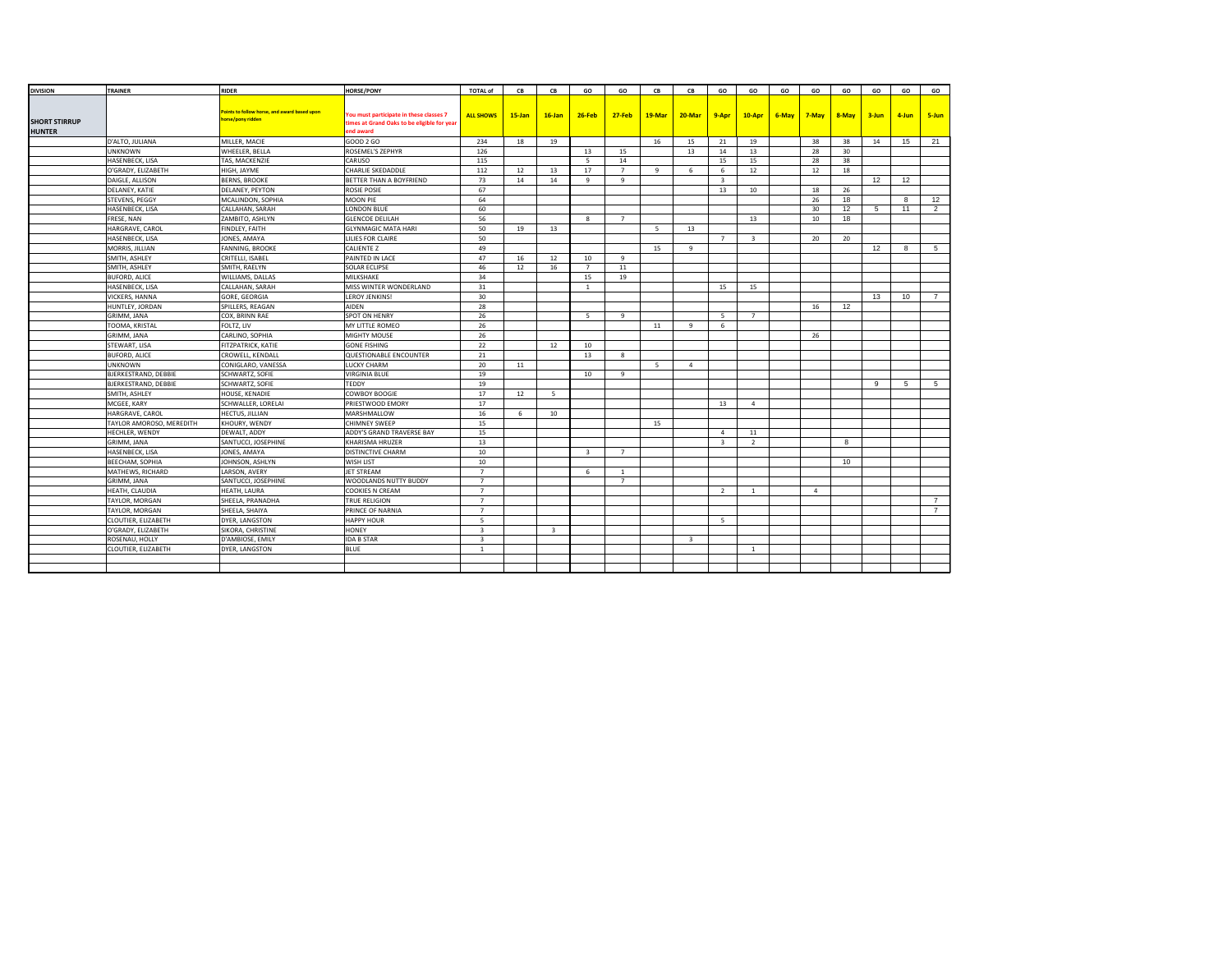| <b>DIVISION</b>      | TRAINER                  | <b>RIDER</b>                                 | <b>HORSE/PONY</b>                           | <b>TOTAL of</b>         | CB        | CB             | GO                      | GO             | CB     | CB                      | GO                      | GO                      | GO    | GO             | GO        | GO        | GO               | GO             |
|----------------------|--------------------------|----------------------------------------------|---------------------------------------------|-------------------------|-----------|----------------|-------------------------|----------------|--------|-------------------------|-------------------------|-------------------------|-------|----------------|-----------|-----------|------------------|----------------|
|                      |                          |                                              |                                             |                         |           |                |                         |                |        |                         |                         |                         |       |                |           |           |                  |                |
|                      |                          | Points to follow horse, and award based upon | You must participate in these classes 7     |                         |           |                |                         |                |        |                         |                         |                         | 6-May |                |           |           |                  |                |
| <b>SHORT STIRRUP</b> |                          | horse/pony ridden                            | times at Grand Oaks to be eligible for year | <b>ALL SHOWS</b>        | $15$ -Jan | $16$ -Jan      | $26 - Feb$              | $27 - Feb$     | 19-Mar | 20-Mar                  | 9-Apr                   | $10-Apr$                |       | $7-May$        | $8 - May$ | $3 - Jun$ | 4-Jun            | 5-Jun          |
| <b>HUNTER</b>        |                          |                                              | end award                                   |                         |           |                |                         |                |        |                         |                         |                         |       |                |           |           |                  |                |
|                      | D'ALTO, JULIANA          | MILLER, MACIE                                | GOOD 2 GO                                   | 234                     | 18        | 19             |                         |                | 16     | 15                      | 21                      | 19                      |       | 38             | 38        | 14        | 15               | 21             |
|                      | <b>UNKNOWN</b>           | WHEELER, BELLA                               | ROSEMEL'S ZEPHYR                            | 126                     |           |                | 13                      | 15             |        | 13                      | 14                      | 13                      |       | 28             | 30        |           |                  |                |
|                      | HASENBECK, LISA          | TAS, MACKENZIE                               | CARUSO                                      | 115                     |           |                | - 5                     | 14             |        |                         | 15                      | 15                      |       | 28             | 38        |           |                  |                |
|                      | O'GRADY, ELIZABETH       | HIGH, JAYME                                  | CHARLIE SKEDADDLE                           | 112                     | 12        | 13             | 17                      | $\overline{7}$ | 9      | 6                       | 6                       | 12                      |       | 12             | 18        |           |                  |                |
|                      | DAIGLE, ALLISON          | <b>BERNS, BROOKE</b>                         | BETTER THAN A BOYFRIEND                     | 73                      | 14        | 14             | 9                       | 9              |        |                         | $\overline{\mathbf{3}}$ |                         |       |                |           | 12        | 12               |                |
|                      | DELANEY, KATIE           | DELANEY, PEYTON                              | <b>ROSIE POSIE</b>                          | 67                      |           |                |                         |                |        |                         | 13                      | 10                      |       | 18             | 26        |           |                  |                |
|                      | STEVENS, PEGGY           | MCALINDON, SOPHIA                            | MOON PIE                                    | 64                      |           |                |                         |                |        |                         |                         |                         |       | 26             | 18        |           | 8                | 12             |
|                      | HASENBECK, LISA          | CALLAHAN, SARAH                              | LONDON BLUE                                 | 60                      |           |                |                         |                |        |                         |                         |                         |       | 30             | 12        | 5         | 11               | 2              |
|                      | FRESE, NAN               | ZAMBITO, ASHLYN                              | <b>GLENCOE DELILAH</b>                      | 56                      |           |                | 8                       | $7^{\circ}$    |        |                         |                         | 13                      |       | 10             | 18        |           |                  |                |
|                      | HARGRAVE, CAROL          | FINDLEY, FAITH                               | <b>GLYNMAGIC MATA HARI</b>                  | 50                      | 19        | 13             |                         |                | - 5    | 13                      |                         |                         |       |                |           |           |                  |                |
|                      | HASENBECK, LISA          | JONES, AMAYA                                 | LILIES FOR CLAIRE                           | 50                      |           |                |                         |                |        |                         | $\overline{7}$          | $\overline{\mathbf{3}}$ |       | 20             | 20        |           |                  |                |
|                      | MORRIS, JILLIAN          | FANNING, BROOKE                              | <b>CALIENTE Z</b>                           | 49                      |           |                |                         |                | 15     | 9                       |                         |                         |       |                |           | 12        | 8                | -5             |
|                      | SMITH, ASHLEY            | CRITELLI, ISABEL                             | PAINTED IN LACE                             | 47                      | 16        | 12             | 10                      | $\mathbf{q}$   |        |                         |                         |                         |       |                |           |           |                  |                |
|                      | SMITH, ASHLEY            | SMITH, RAELYN                                | <b>SOLAR ECLIPSE</b>                        | 46                      | 12        | 16             | $\overline{7}$          | 11             |        |                         |                         |                         |       |                |           |           |                  |                |
|                      | <b>BUFORD, ALICE</b>     | WILLIAMS, DALLAS                             | MILKSHAKE                                   | 34                      |           |                | 15                      | 19             |        |                         |                         |                         |       |                |           |           |                  |                |
|                      | HASENBECK, LISA          | CALLAHAN, SARAH                              | MISS WINTER WONDERLAND                      | 31                      |           |                | <sup>1</sup>            |                |        |                         | 15                      | 15                      |       |                |           |           |                  |                |
|                      | VICKERS, HANNA           | GORE, GEORGIA                                | LEROY JENKINS!                              | 30                      |           |                |                         |                |        |                         |                         |                         |       |                |           | 13        | 10 <sup>10</sup> | $\overline{7}$ |
|                      | HUNTLEY, JORDAN          | SPILLERS, REAGAN                             | AIDEN                                       | 28                      |           |                |                         |                |        |                         |                         |                         |       | 16             | 12        |           |                  |                |
|                      | GRIMM, JANA              | COX, BRINN RAE                               | SPOT ON HENRY                               | 26                      |           |                | $\sim$                  | $\mathbf{q}$   |        |                         | -5                      | $\overline{7}$          |       |                |           |           |                  |                |
|                      | TOOMA, KRISTAL           | FOLTZ, LIV                                   | MY LITTLE ROMEO                             | 26                      |           |                |                         |                | 11     | $\mathbf{q}$            | 6                       |                         |       |                |           |           |                  |                |
|                      | GRIMM, JANA              | CARLINO, SOPHIA                              | MIGHTY MOUSE                                | 26                      |           |                |                         |                |        |                         |                         |                         |       | 26             |           |           |                  |                |
|                      | STEWART, LISA            | FITZPATRICK, KATIE                           | <b>GONE FISHING</b>                         | 22                      |           | 12             | 10                      |                |        |                         |                         |                         |       |                |           |           |                  |                |
|                      | <b>BUFORD, ALICE</b>     | CROWELL, KENDALL                             | QUESTIONABLE ENCOUNTER                      | 21                      |           |                | 13                      | 8              |        |                         |                         |                         |       |                |           |           |                  |                |
|                      | <b>UNKNOWN</b>           | CONIGLARO, VANESSA                           | LUCKY CHARM                                 | 20                      | 11        |                |                         |                | -5     | $\overline{4}$          |                         |                         |       |                |           |           |                  |                |
|                      | BJERKESTRAND, DEBBIE     | SCHWARTZ, SOFIE                              | <b>VIRGINIA BLUE</b>                        | 19                      |           |                | 10                      | 9              |        |                         |                         |                         |       |                |           |           |                  |                |
|                      | BJERKESTRAND, DEBBIE     | SCHWARTZ, SOFIE                              | TEDDY                                       | 19                      |           |                |                         |                |        |                         |                         |                         |       |                |           | 9         | -5               | -5             |
|                      | SMITH, ASHLEY            | HOUSE, KENADIE                               | COWBOY BOOGIE                               | 17                      | 12        | 5              |                         |                |        |                         |                         |                         |       |                |           |           |                  |                |
|                      | MCGEE, KARY              | SCHWALLER, LORELAI                           | PRIESTWOOD EMORY                            | 17                      |           |                |                         |                |        |                         | 13                      | $\overline{4}$          |       |                |           |           |                  |                |
|                      | HARGRAVE, CAROL          | <b>HECTUS, JILLIAN</b>                       | MARSHMALLOW                                 | 16                      | 6         | 10             |                         |                |        |                         |                         |                         |       |                |           |           |                  |                |
|                      | TAYLOR AMOROSO, MEREDITH | KHOURY, WENDY                                | CHIMNEY SWEEP                               | 15                      |           |                |                         |                | 15     |                         |                         |                         |       |                |           |           |                  |                |
|                      | HECHLER, WENDY           | DEWALT, ADDY                                 | ADDY'S GRAND TRAVERSE BAY                   | 15                      |           |                |                         |                |        |                         | $\overline{4}$          | 11                      |       |                |           |           |                  |                |
|                      | GRIMM, JANA              | SANTUCCI, JOSEPHINE                          | KHARISMA HRUZER                             | 13                      |           |                |                         |                |        |                         | $\overline{3}$          | 2                       |       |                | 8         |           |                  |                |
|                      | HASENBECK, LISA          | JONES, AMAYA                                 | <b>DISTINCTIVE CHARM</b>                    | 10                      |           |                | $\overline{\mathbf{3}}$ | $7^{\circ}$    |        |                         |                         |                         |       |                |           |           |                  |                |
|                      | <b>BEECHAM, SOPHIA</b>   | JOHNSON, ASHLYN                              | WISH LIST                                   | 10                      |           |                |                         |                |        |                         |                         |                         |       |                | 10        |           |                  |                |
|                      | MATHEWS, RICHARD         | LARSON, AVERY                                | JET STREAM                                  | $\overline{7}$          |           |                | 6                       | $\overline{1}$ |        |                         |                         |                         |       |                |           |           |                  |                |
|                      | GRIMM, JANA              | SANTUCCI, JOSEPHINE                          | WOODLANDS NUTTY BUDDY                       | $\overline{7}$          |           |                |                         | $\overline{7}$ |        |                         |                         |                         |       |                |           |           |                  |                |
|                      | HEATH, CLAUDIA           | HEATH, LAURA                                 | COOKIES N CREAM                             | $\overline{7}$          |           |                |                         |                |        |                         | 2                       | $\mathbf{1}$            |       | $\overline{4}$ |           |           |                  |                |
|                      | TAYLOR, MORGAN           | SHEELA, PRANADHA                             | TRUE RELIGION                               | $\overline{7}$          |           |                |                         |                |        |                         |                         |                         |       |                |           |           |                  | $\overline{7}$ |
|                      | TAYLOR, MORGAN           | SHEELA, SHAIYA                               | PRINCE OF NARNIA                            | $\overline{7}$          |           |                |                         |                |        |                         |                         |                         |       |                |           |           |                  | $\overline{7}$ |
|                      | CLOUTIER, ELIZABETH      | DYER, LANGSTON                               | <b>HAPPY HOUR</b>                           | -5                      |           |                |                         |                |        |                         | -5                      |                         |       |                |           |           |                  |                |
|                      | O'GRADY, ELIZABETH       | SIKORA, CHRISTINE                            | <b>HONEY</b>                                | $\overline{\mathbf{3}}$ |           | $\overline{3}$ |                         |                |        |                         |                         |                         |       |                |           |           |                  |                |
|                      | ROSENAU, HOLLY           | D'AMBIOSE, EMILY                             | <b>IDA B STAR</b>                           | $\overline{\mathbf{3}}$ |           |                |                         |                |        | $\overline{\mathbf{3}}$ |                         |                         |       |                |           |           |                  |                |
|                      | CLOUTIER, ELIZABETH      | DYER, LANGSTON                               | <b>BLUE</b>                                 | <sup>1</sup>            |           |                |                         |                |        |                         |                         | $\overline{1}$          |       |                |           |           |                  |                |
|                      |                          |                                              |                                             |                         |           |                |                         |                |        |                         |                         |                         |       |                |           |           |                  |                |
|                      |                          |                                              |                                             |                         |           |                |                         |                |        |                         |                         |                         |       |                |           |           |                  |                |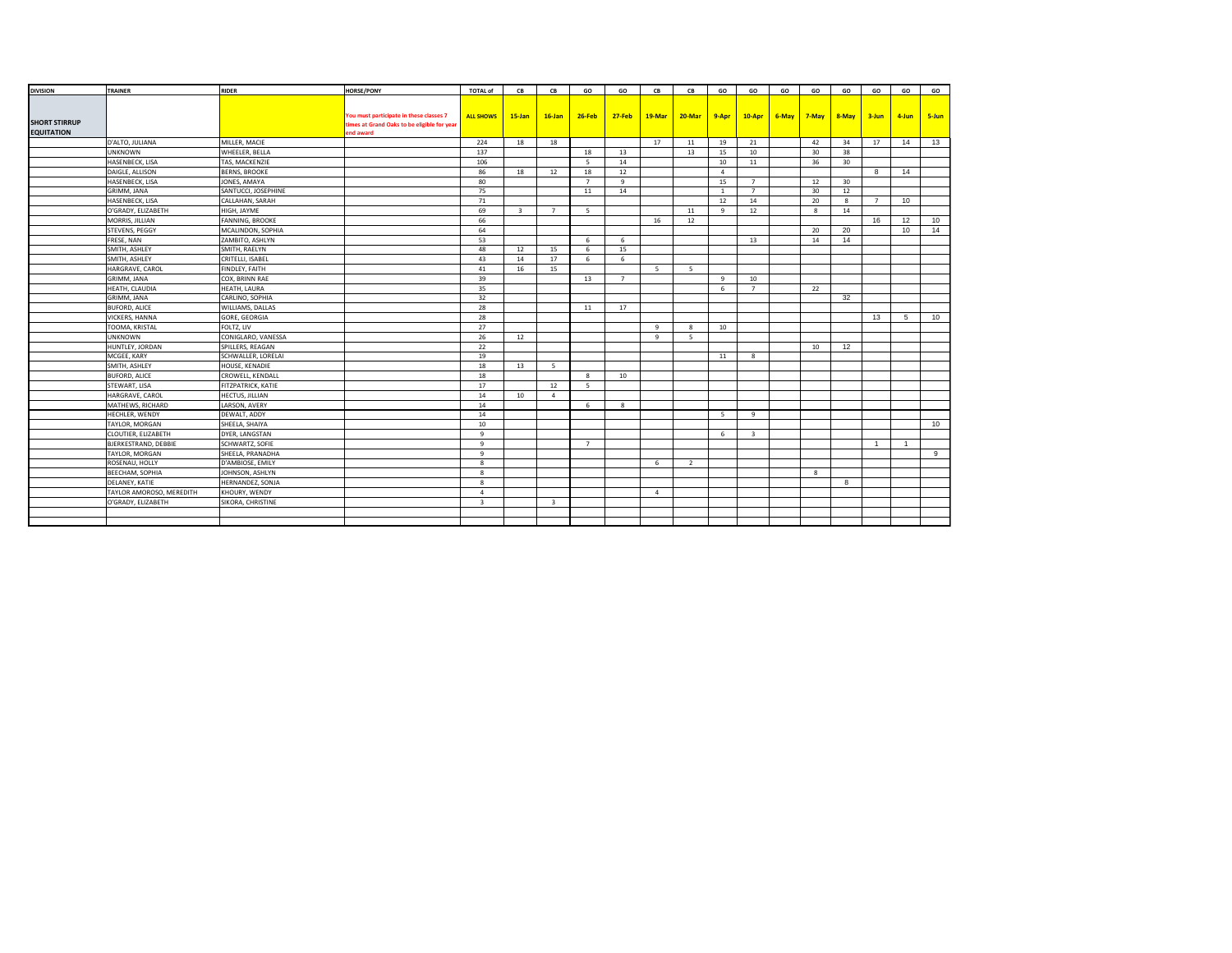| <b>DIVISION</b>      | <b>TRAINER</b>              | <b>RIDER</b>         | <b>HORSE/PONY</b>                           | <b>TOTAL of</b>         | CB                      | CB                      | GO             | GO             | CB             | CB           | GO             | GO                      | GO | GO          | GO                | GO          | GO             | GO    |
|----------------------|-----------------------------|----------------------|---------------------------------------------|-------------------------|-------------------------|-------------------------|----------------|----------------|----------------|--------------|----------------|-------------------------|----|-------------|-------------------|-------------|----------------|-------|
|                      |                             |                      |                                             |                         |                         |                         |                |                |                |              |                |                         |    |             |                   |             |                |       |
|                      |                             |                      | You must participate in these classes 7     |                         | $15 - Jan$              | $16$ -Jan               | $26$ -Feb      | $27-Feb$       |                |              |                | $10-Apr$                |    | 6-May 7-May |                   |             |                | 5-Jun |
| <b>SHORT STIRRUP</b> |                             |                      | times at Grand Oaks to be eligible for year | <b>ALL SHOWS</b>        |                         |                         |                |                | 19-Mar         | $20$ -Mar    | $9 - Apr$      |                         |    |             | 8-May 3-Jun 4-Jun |             |                |       |
| <b>EQUITATION</b>    |                             |                      | end award                                   |                         |                         |                         |                |                |                |              |                |                         |    |             |                   |             |                |       |
|                      | D'ALTO, JULIANA             | MILLER, MACIE        |                                             | 224                     | 18                      | 18                      |                |                | 17             | 11           | 19             | 21                      |    | 42          | 34                | 17          | 14             | 13    |
|                      | <b>UNKNOWN</b>              | WHEELER, BELLA       |                                             | 137                     |                         |                         | 18             | 13             |                | 13           | 15             | 10                      |    | 30          | 38                |             |                |       |
|                      | HASENBECK, LISA             | TAS, MACKENZIE       |                                             | 106                     |                         |                         | - 5            | 14             |                |              | 10             | 11                      |    | 36          | 30                |             |                |       |
|                      | DAIGLE, ALLISON             | <b>BERNS, BROOKE</b> |                                             | 86                      | 18                      | 12                      | 18             | 12             |                |              | $\overline{a}$ |                         |    |             |                   | 8           | 14             |       |
|                      | HASENBECK, LISA             | JONES, AMAYA         |                                             | 80                      |                         |                         | $\overline{7}$ | 9              |                |              | 15             | $\overline{7}$          |    | 12          | 30                |             |                |       |
|                      | GRIMM, JANA                 | SANTUCCI, JOSEPHINE  |                                             | 75                      |                         |                         | 11             | 14             |                |              | $\mathbf{1}$   | $\overline{7}$          |    | 30          | 12                |             |                |       |
|                      | HASENBECK, LISA             | CALLAHAN, SARAH      |                                             | 71                      |                         |                         |                |                |                |              | 12             | 14                      |    | 20          | 8                 | $7^{\circ}$ | 10             |       |
|                      | O'GRADY, ELIZABETH          | HIGH, JAYME          |                                             | 69                      | $\overline{\mathbf{3}}$ | $\overline{7}$          | - 5            |                |                | 11           | 9              | 12                      |    | 8           | 14                |             |                |       |
|                      | MORRIS, JILLIAN             | FANNING, BROOKE      |                                             | 66                      |                         |                         |                |                | 16             | 12           |                |                         |    |             |                   | 16          | 12             | 10    |
|                      | STEVENS, PEGGY              | MCALINDON, SOPHIA    |                                             | 64                      |                         |                         |                |                |                |              |                |                         |    | 20          | 20                |             | 10             | 14    |
|                      | FRESE, NAN                  | ZAMBITO, ASHLYN      |                                             | 53                      |                         |                         | 6              | 6              |                |              |                | 13                      |    | 14          | 14                |             |                |       |
|                      | SMITH, ASHLEY               | SMITH, RAELYN        |                                             | 48                      | 12                      | 15                      | 6              | 15             |                |              |                |                         |    |             |                   |             |                |       |
|                      | SMITH, ASHLEY               | CRITELLI, ISABEL     |                                             | 43                      | 14                      | 17                      | 6              | 6              |                |              |                |                         |    |             |                   |             |                |       |
|                      | HARGRAVE, CAROL             | FINDLEY, FAITH       |                                             | 41                      | 16                      | 15                      |                |                | - 5            | - 5          |                |                         |    |             |                   |             |                |       |
|                      | GRIMM, JANA                 | COX, BRINN RAE       |                                             | 39                      |                         |                         | 13             | $\overline{7}$ |                |              | $\ddot{q}$     | 10                      |    |             |                   |             |                |       |
|                      | HEATH, CLAUDIA              | HEATH, LAURA         |                                             | 35                      |                         |                         |                |                |                |              | 6              | $\overline{7}$          |    | 22          |                   |             |                |       |
|                      | GRIMM, JANA                 | CARLINO, SOPHIA      |                                             | 32                      |                         |                         |                |                |                |              |                |                         |    |             | 32                |             |                |       |
|                      | <b>BUFORD, ALICE</b>        | WILLIAMS, DALLAS     |                                             | 28                      |                         |                         | 11             | 17             |                |              |                |                         |    |             |                   |             |                |       |
|                      | VICKERS, HANNA              | GORE, GEORGIA        |                                             | 28                      |                         |                         |                |                |                |              |                |                         |    |             |                   | 13          | 5              | 10    |
|                      | TOOMA, KRISTAL              | FOLTZ, LIV           |                                             | 27                      |                         |                         |                |                | $\mathbf{q}$   | $\mathbf{R}$ | 10             |                         |    |             |                   |             |                |       |
|                      | <b>UNKNOWN</b>              | CONIGLARO, VANESSA   |                                             | 26                      | 12                      |                         |                |                | 9              | -5           |                |                         |    |             |                   |             |                |       |
|                      | HUNTLEY, JORDAN             | SPILLERS, REAGAN     |                                             | 22                      |                         |                         |                |                |                |              |                |                         |    | 10          | 12                |             |                |       |
|                      | MCGEE, KARY                 | SCHWALLER, LORELAI   |                                             | 19                      |                         |                         |                |                |                |              | 11             | 8                       |    |             |                   |             |                |       |
|                      | SMITH, ASHLEY               | HOUSE, KENADIE       |                                             | 18                      | 13                      | 5 <sup>5</sup>          |                |                |                |              |                |                         |    |             |                   |             |                |       |
|                      | <b>BUFORD, ALICE</b>        | CROWELL, KENDALL     |                                             | 18                      |                         |                         | 8              | 10             |                |              |                |                         |    |             |                   |             |                |       |
|                      | STEWART, LISA               | FITZPATRICK, KATIE   |                                             | 17                      |                         | 12                      | 5 <sup>5</sup> |                |                |              |                |                         |    |             |                   |             |                |       |
|                      | HARGRAVE, CAROL             | HECTUS, JILLIAN      |                                             | 14                      | 10                      | $\overline{4}$          |                |                |                |              |                |                         |    |             |                   |             |                |       |
|                      | MATHEWS, RICHARD            | LARSON, AVERY        |                                             | 14                      |                         |                         | 6              | 8              |                |              |                |                         |    |             |                   |             |                |       |
|                      | HECHLER, WENDY              | DEWALT, ADDY         |                                             | 14                      |                         |                         |                |                |                |              | -5             | 9                       |    |             |                   |             |                |       |
|                      | TAYLOR, MORGAN              | SHEELA, SHAIYA       |                                             | 10                      |                         |                         |                |                |                |              |                |                         |    |             |                   |             |                | 10    |
|                      | CLOUTIER, ELIZABETH         | DYER, LANGSTAN       |                                             | $\mathbf{q}$            |                         |                         |                |                |                |              | 6              | $\overline{\mathbf{3}}$ |    |             |                   |             |                |       |
|                      | <b>BJERKESTRAND, DEBBIE</b> | SCHWARTZ, SOFIE      |                                             | 9                       |                         |                         | $\overline{7}$ |                |                |              |                |                         |    |             |                   | 1           | $\overline{1}$ |       |
|                      | TAYLOR, MORGAN              | SHEELA, PRANADHA     |                                             | $\overline{9}$          |                         |                         |                |                |                |              |                |                         |    |             |                   |             |                | 9     |
|                      | ROSENAU, HOLLY              | D'AMBIOSE, EMILY     |                                             | 8                       |                         |                         |                |                | 6              | <sup>2</sup> |                |                         |    |             |                   |             |                |       |
|                      | BEECHAM, SOPHIA             | JOHNSON, ASHLYN      |                                             | 8                       |                         |                         |                |                |                |              |                |                         |    | 8           |                   |             |                |       |
|                      | DELANEY, KATIE              | HERNANDEZ, SONJA     |                                             | 8                       |                         |                         |                |                |                |              |                |                         |    |             | 8                 |             |                |       |
|                      | TAYLOR AMOROSO, MEREDITH    | KHOURY, WENDY        |                                             | $\overline{a}$          |                         |                         |                |                | $\overline{a}$ |              |                |                         |    |             |                   |             |                |       |
|                      | O'GRADY, ELIZABETH          | SIKORA, CHRISTINE    |                                             | $\overline{\mathbf{3}}$ |                         | $\overline{\mathbf{3}}$ |                |                |                |              |                |                         |    |             |                   |             |                |       |
|                      |                             |                      |                                             |                         |                         |                         |                |                |                |              |                |                         |    |             |                   |             |                |       |
|                      |                             |                      |                                             |                         |                         |                         |                |                |                |              |                |                         |    |             |                   |             |                |       |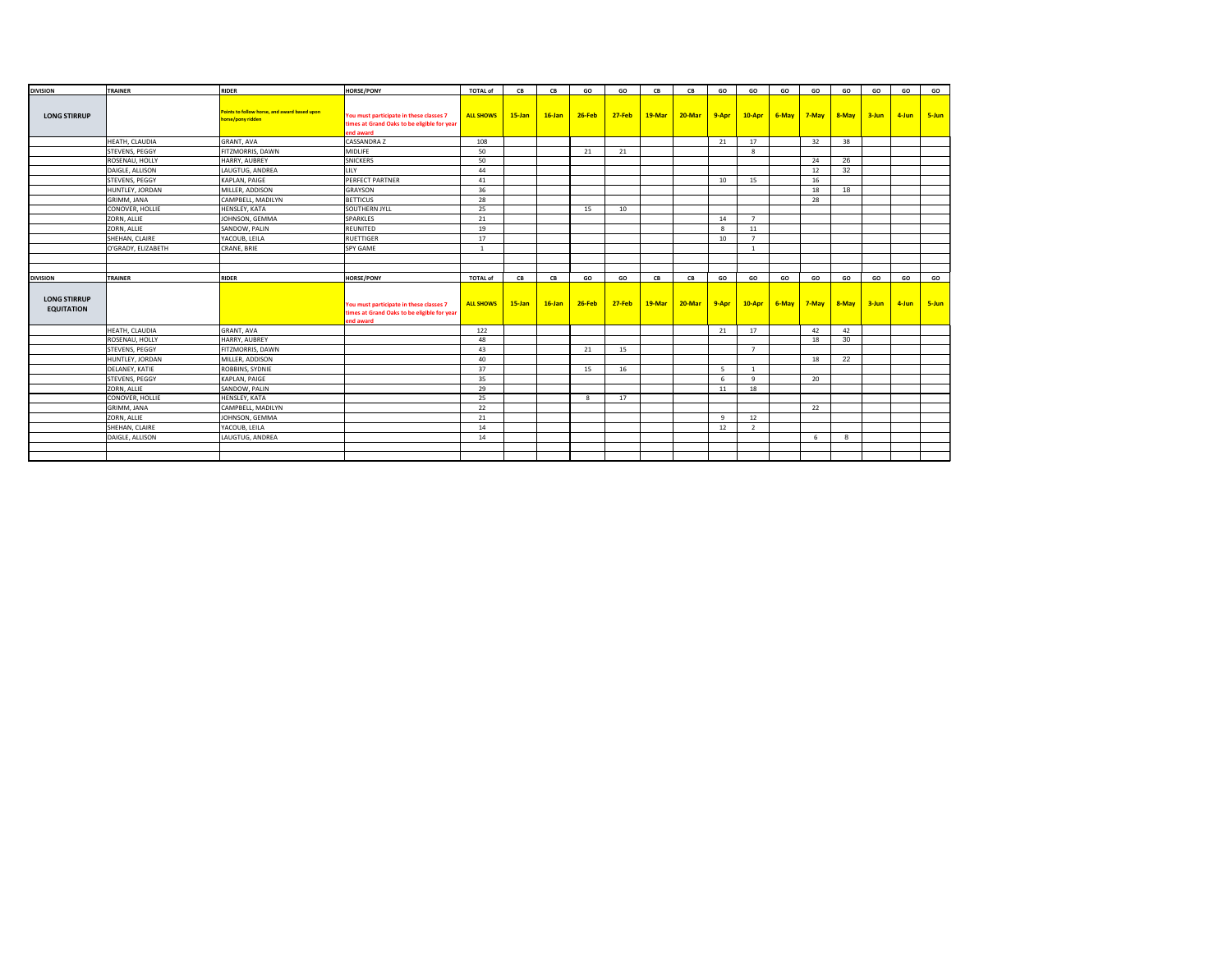| <b>DIVISION</b>                          | TRAINER            | <b>RIDER</b>                                                      | <b>HORSE/PONY</b>                                                                                   | <b>TOTAL of</b>  | CB         | CB        | GO       | GO       | CB     | <b>CB</b> | GO    | GO             | GO    | GO        | GO    | GO        | GO    | GO    |
|------------------------------------------|--------------------|-------------------------------------------------------------------|-----------------------------------------------------------------------------------------------------|------------------|------------|-----------|----------|----------|--------|-----------|-------|----------------|-------|-----------|-------|-----------|-------|-------|
| <b>LONG STIRRUP</b>                      |                    | Points to follow horse, and award based upon<br>norse/pony ridden | You must participate in these classes 7<br>times at Grand Oaks to be eligible for year<br>end award | <b>ALL SHOWS</b> | $15 - Jan$ | $16$ -Jan | $26-Feb$ | $27-Feb$ | 19-Mar | $20-Mar$  | 9-Apr | $10-Apr$       | 6-May | $7 - May$ | 8-May | $3 - Jun$ | 4-Jun | 5-Jun |
|                                          | HEATH, CLAUDIA     | <b>GRANT, AVA</b>                                                 | CASSANDRA Z                                                                                         | 108              |            |           |          |          |        |           | 21    | 17             |       | 32        | 38    |           |       |       |
|                                          | STEVENS, PEGGY     | FITZMORRIS, DAWN                                                  | MIDLIFE                                                                                             | 50               |            |           | 21       | 21       |        |           |       | 8              |       |           |       |           |       |       |
|                                          | ROSENAU, HOLLY     | HARRY, AUBREY                                                     | <b>SNICKERS</b>                                                                                     | 50               |            |           |          |          |        |           |       |                |       | 24        | 26    |           |       |       |
|                                          | DAIGLE, ALLISON    | LAUGTUG, ANDREA                                                   | <b>LILY</b>                                                                                         | 44               |            |           |          |          |        |           |       |                |       | 12        | 32    |           |       |       |
|                                          | STEVENS, PEGGY     | KAPLAN, PAIGE                                                     | PERFECT PARTNER                                                                                     | 41               |            |           |          |          |        |           | 10    | 15             |       | 16        |       |           |       |       |
|                                          | HUNTLEY, JORDAN    | MILLER, ADDISON                                                   | GRAYSON                                                                                             | 36               |            |           |          |          |        |           |       |                |       | 18        | 18    |           |       |       |
|                                          | GRIMM, JANA        | CAMPBELL, MADILYN                                                 | <b>BETTICUS</b>                                                                                     | 28               |            |           |          |          |        |           |       |                |       | 28        |       |           |       |       |
|                                          | CONOVER, HOLLIE    | HENSLEY, KATA                                                     | SOUTHERN JYLL                                                                                       | 25               |            |           | 15       | 10       |        |           |       |                |       |           |       |           |       |       |
|                                          | ZORN, ALLIE        | JOHNSON, GEMMA                                                    | SPARKLES                                                                                            | 21               |            |           |          |          |        |           | 14    | $\overline{7}$ |       |           |       |           |       |       |
|                                          | ZORN, ALLIE        | SANDOW, PALIN                                                     | REUNITED                                                                                            | 19               |            |           |          |          |        |           | 8     | 11             |       |           |       |           |       |       |
|                                          | SHEHAN, CLAIRE     | YACOUB, LEILA                                                     | <b>RUETTIGER</b>                                                                                    | 17               |            |           |          |          |        |           | 10    | $\overline{7}$ |       |           |       |           |       |       |
|                                          | O'GRADY, ELIZABETH | CRANE, BRIE                                                       | SPY GAME                                                                                            | $\overline{1}$   |            |           |          |          |        |           |       | $\overline{1}$ |       |           |       |           |       |       |
|                                          |                    |                                                                   |                                                                                                     |                  |            |           |          |          |        |           |       |                |       |           |       |           |       |       |
|                                          |                    |                                                                   |                                                                                                     |                  |            |           |          |          |        |           |       |                |       |           |       |           |       |       |
| <b>DIVISION</b>                          | TRAINER            | <b>RIDER</b>                                                      | <b>HORSE/PONY</b>                                                                                   | <b>TOTAL of</b>  | CB         | CB        | GO       | GO       | CB     | CB        | GO    | GO             | GO    | GO        | GO    | GO        | GO    | GO    |
| <b>LONG STIRRUP</b><br><b>EQUITATION</b> |                    |                                                                   | You must participate in these classes 7<br>times at Grand Oaks to be eligible for year<br>end award | <b>ALL SHOWS</b> | $15$ -Jan  | $16$ -Jan | $26-Feb$ | $27-Feb$ | 19-Mar | 20-Mar    | 9-Apr | $10-Apr$       | 6-May | $7 -$ May | 8-May | $3 - Jun$ | 4-Jun | 5-Jun |
|                                          | HEATH, CLAUDIA     | <b>GRANT, AVA</b>                                                 |                                                                                                     | 122              |            |           |          |          |        |           |       |                |       |           |       |           |       |       |
|                                          | ROSENAU, HOLLY     |                                                                   |                                                                                                     |                  |            |           |          |          |        |           | 21    | 17             |       | 42        | 42    |           |       |       |
|                                          |                    | HARRY, AUBREY                                                     |                                                                                                     | 48               |            |           |          |          |        |           |       |                |       | 18        | 30    |           |       |       |
|                                          | STEVENS, PEGGY     | FITZMORRIS, DAWN                                                  |                                                                                                     | 43               |            |           | 21       | 15       |        |           |       | $\overline{7}$ |       |           |       |           |       |       |
|                                          | HUNTLEY, JORDAN    | MILLER, ADDISON                                                   |                                                                                                     | 40               |            |           |          |          |        |           |       |                |       | 18        | 22    |           |       |       |
|                                          | DELANEY, KATIE     | ROBBINS, SYDNIE                                                   |                                                                                                     | 37               |            |           | 15       | 16       |        |           | -5    | $\overline{1}$ |       |           |       |           |       |       |
|                                          | STEVENS, PEGGY     | KAPLAN, PAIGE                                                     |                                                                                                     | 35               |            |           |          |          |        |           | 6     | $\mathbf{q}$   |       | 20        |       |           |       |       |
|                                          | ZORN, ALLIE        | SANDOW, PALIN                                                     |                                                                                                     | 29               |            |           |          |          |        |           | 11    | 18             |       |           |       |           |       |       |
|                                          | CONOVER, HOLLIE    | HENSLEY, KATA                                                     |                                                                                                     | 25               |            |           | 8        | 17       |        |           |       |                |       |           |       |           |       |       |
|                                          | GRIMM, JANA        | CAMPBELL, MADILYN                                                 |                                                                                                     | 22               |            |           |          |          |        |           |       |                |       | 22        |       |           |       |       |
|                                          | ZORN, ALLIE        | JOHNSON, GEMMA                                                    |                                                                                                     | 21               |            |           |          |          |        |           | 9     | 12             |       |           |       |           |       |       |
|                                          | SHEHAN, CLAIRE     | YACOUB, LEILA                                                     |                                                                                                     | 14               |            |           |          |          |        |           | 12    | 2              |       |           |       |           |       |       |
|                                          | DAIGLE, ALLISON    | LAUGTUG, ANDREA                                                   |                                                                                                     | 14               |            |           |          |          |        |           |       |                |       | 6         | 8     |           |       |       |
|                                          |                    |                                                                   |                                                                                                     |                  |            |           |          |          |        |           |       |                |       |           |       |           |       |       |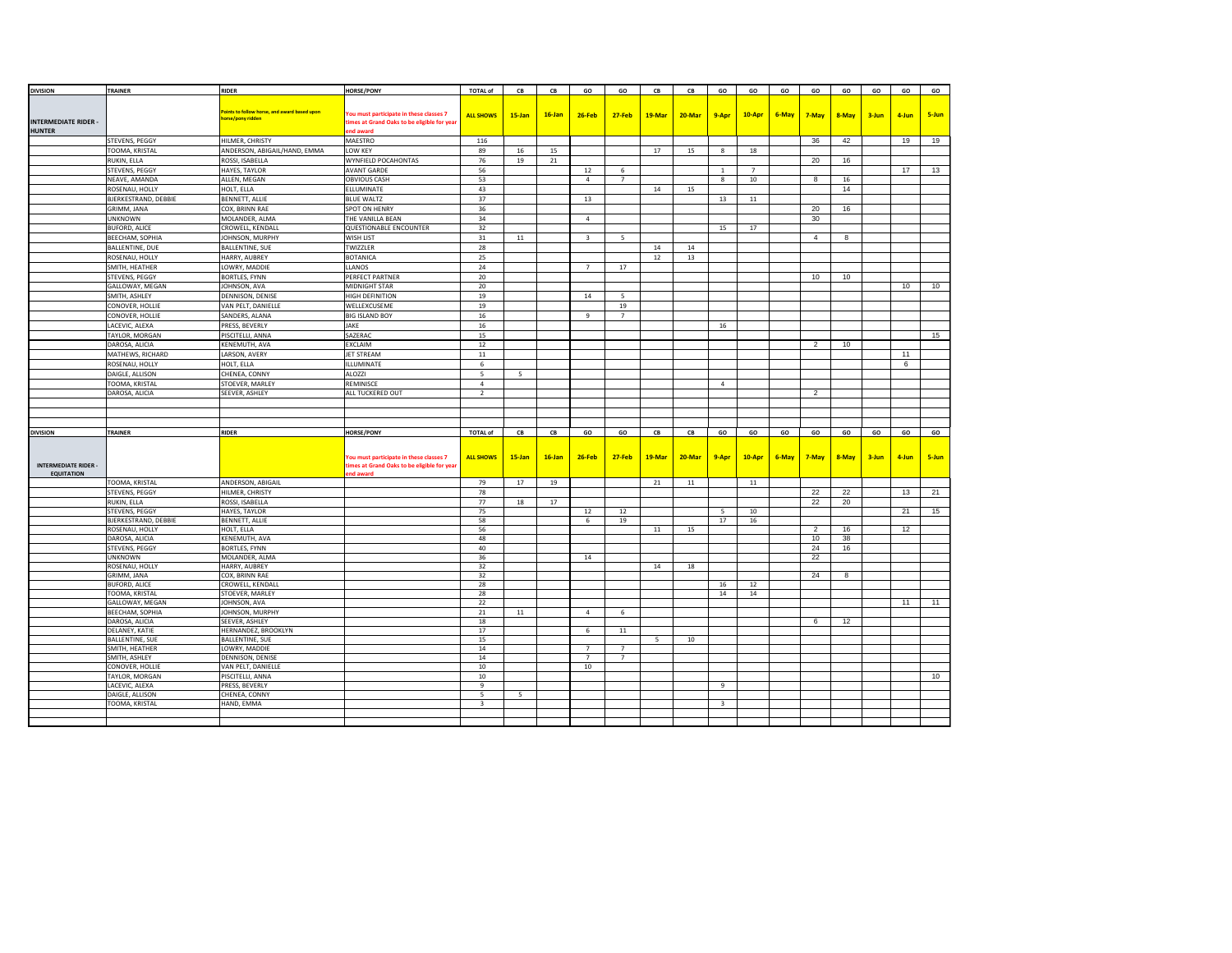| <b>DIVISION</b>             | TRAINER                | <b>RIDER</b>                                                    | <b>HORSE/PONY</b>                           | <b>TOTAL of</b>         | ${\sf CB}$ | ${\sf CB}$ | GO                      | GO             | ${\sf CB}$ | ${\sf CB}$ | GO               | GO             | GO    | GO             | GO    | GO    | GO    | GO    |
|-----------------------------|------------------------|-----------------------------------------------------------------|---------------------------------------------|-------------------------|------------|------------|-------------------------|----------------|------------|------------|------------------|----------------|-------|----------------|-------|-------|-------|-------|
|                             |                        |                                                                 |                                             |                         |            |            |                         |                |            |            |                  |                |       |                |       |       |       |       |
|                             |                        |                                                                 |                                             |                         |            |            |                         |                |            |            |                  |                |       |                |       |       |       |       |
|                             |                        | oints to follow horse, and award based upon<br>orse/pony ridden | You must participate in these classes 7     | <b>ALL SHOWS</b>        | $15$ -Jan  | $16$ -Jan  | 26-Feb                  | $27 - Feb$     | 19-Mar     | 20-Mar     | 9-Apr            | 10-Apr         | 6-May | 7-May          | 8-May | 3-Jun | 4-Jun | 5-Jun |
| <b>INTERMEDIATE RIDER -</b> |                        |                                                                 | times at Grand Oaks to be eligible for year |                         |            |            |                         |                |            |            |                  |                |       |                |       |       |       |       |
| <b>HUNTER</b>               |                        |                                                                 | end award                                   |                         |            |            |                         |                |            |            |                  |                |       |                |       |       |       |       |
|                             | STEVENS, PEGGY         | HILMER, CHRISTY                                                 | MAESTRO                                     | 116                     |            |            |                         |                |            |            |                  |                |       | 36             | 42    |       | 19    | 19    |
|                             | TOOMA, KRISTAL         | ANDERSON, ABIGAIL/HAND, EMMA                                    | LOW KEY                                     | 89                      | $16\,$     | 15         |                         |                | 17         | 15         | $\bf{8}$         | 18             |       |                |       |       |       |       |
|                             | RUKIN, ELLA            | ROSSI, ISABELLA                                                 | WYNFIELD POCAHONTAS                         | 76                      | 19         | 21         |                         |                |            |            |                  |                |       | 20             | 16    |       |       |       |
|                             | STEVENS, PEGGY         | HAYES, TAYLOR                                                   | <b>AVANT GARDE</b>                          | 56                      |            |            | 12                      | 6              |            |            | $1\,$            | $\overline{7}$ |       |                |       |       | 17    | 13    |
|                             | NEAVE, AMANDA          | ALLEN, MEGAN                                                    | <b>OBVIOUS CASH</b>                         | 53                      |            |            | $\overline{4}$          | $\overline{7}$ |            |            | $\boldsymbol{8}$ | 10             |       | 8              | 16    |       |       |       |
|                             | ROSENAU, HOLLY         | HOLT, ELLA                                                      | ELLUMINATE                                  | 43                      |            |            |                         |                | 14         | 15         |                  |                |       |                | 14    |       |       |       |
|                             | BJERKESTRAND, DEBBIE   | BENNETT, ALLIE                                                  | <b>BLUE WALTZ</b>                           | 37                      |            |            | 13                      |                |            |            | 13               | $11\,$         |       |                |       |       |       |       |
|                             |                        |                                                                 |                                             |                         |            |            |                         |                |            |            |                  |                |       |                |       |       |       |       |
|                             | GRIMM, JANA            | COX, BRINN RAE                                                  | SPOT ON HENRY                               | 36                      |            |            |                         |                |            |            |                  |                |       | 20             | 16    |       |       |       |
|                             | <b>UNKNOWN</b>         | MOLANDER, ALMA                                                  | THE VANILLA BEAN                            | 34                      |            |            | $\overline{4}$          |                |            |            |                  |                |       | 30             |       |       |       |       |
|                             | <b>BUFORD, ALICE</b>   | CROWELL, KENDALL                                                | QUESTIONABLE ENCOUNTER                      | 32                      |            |            |                         |                |            |            | 15               | 17             |       |                |       |       |       |       |
|                             | BEECHAM, SOPHIA        | JOHNSON, MURPHY                                                 | WISH LIST                                   | 31                      | 11         |            | $\overline{\mathbf{3}}$ | 5              |            |            |                  |                |       | $\overline{4}$ | 8     |       |       |       |
|                             | BALLENTINE, DUE        | BALLENTINE, SUE                                                 | TWIZZLER                                    | 28                      |            |            |                         |                | 14         | 14         |                  |                |       |                |       |       |       |       |
|                             | ROSENAU, HOLLY         | HARRY, AUBREY                                                   | <b>BOTANICA</b>                             | 25                      |            |            |                         |                | 12         | 13         |                  |                |       |                |       |       |       |       |
|                             | SMITH, HEATHER         | LOWRY, MADDIE                                                   | <b>LLANOS</b>                               | 24                      |            |            | $\overline{7}$          | 17             |            |            |                  |                |       |                |       |       |       |       |
|                             | STEVENS, PEGGY         | BORTLES, FYNN                                                   | PERFECT PARTNER                             | 20                      |            |            |                         |                |            |            |                  |                |       | 10             | 10    |       |       |       |
|                             | GALLOWAY, MEGAN        | JOHNSON, AVA                                                    | MIDNIGHT STAR                               | 20                      |            |            |                         |                |            |            |                  |                |       |                |       |       | 10    | 10    |
|                             |                        |                                                                 |                                             |                         |            |            |                         |                |            |            |                  |                |       |                |       |       |       |       |
|                             | SMITH, ASHLEY          | DENNISON, DENISE                                                | HIGH DEFINITION                             | 19                      |            |            | 14                      | -5             |            |            |                  |                |       |                |       |       |       |       |
|                             | CONOVER, HOLLIE        | VAN PELT, DANIELLE                                              | WELLEXCUSEME                                | 19                      |            |            |                         | 19             |            |            |                  |                |       |                |       |       |       |       |
|                             | CONOVER, HOLLIE        | SANDERS, ALANA                                                  | <b>BIG ISLAND BOY</b>                       | 16                      |            |            | $\overline{9}$          | $\overline{7}$ |            |            |                  |                |       |                |       |       |       |       |
|                             | LACEVIC, ALEXA         | PRESS, BEVERLY                                                  | JAKE                                        | 16                      |            |            |                         |                |            |            | 16               |                |       |                |       |       |       |       |
|                             | TAYLOR, MORGAN         | PISCITELLI, ANNA                                                | SAZERAC                                     | 15                      |            |            |                         |                |            |            |                  |                |       |                |       |       |       | 15    |
|                             | DAROSA, ALICIA         | KENEMUTH, AVA                                                   | EXCLAIM                                     | 12                      |            |            |                         |                |            |            |                  |                |       | $\overline{2}$ | 10    |       |       |       |
|                             | MATHEWS, RICHARD       | LARSON, AVERY                                                   | JET STREAM                                  | $11\,$                  |            |            |                         |                |            |            |                  |                |       |                |       |       | 11    |       |
|                             |                        |                                                                 |                                             |                         |            |            |                         |                |            |            |                  |                |       |                |       |       | 6     |       |
|                             | ROSENAU, HOLLY         | HOLT, ELLA                                                      | ILLUMINATE                                  | 6                       |            |            |                         |                |            |            |                  |                |       |                |       |       |       |       |
|                             | DAIGLE, ALLISON        | CHENEA, CONNY                                                   | <b>ALOZZI</b>                               | -5                      | 5          |            |                         |                |            |            |                  |                |       |                |       |       |       |       |
|                             | TOOMA, KRISTAL         | STOEVER, MARLEY                                                 | REMINISCE                                   | $\overline{4}$          |            |            |                         |                |            |            | $\overline{4}$   |                |       |                |       |       |       |       |
|                             | DAROSA, ALICIA         | SEEVER, ASHLEY                                                  | ALL TUCKERED OUT                            | $\overline{2}$          |            |            |                         |                |            |            |                  |                |       | $\overline{2}$ |       |       |       |       |
|                             |                        |                                                                 |                                             |                         |            |            |                         |                |            |            |                  |                |       |                |       |       |       |       |
|                             |                        |                                                                 |                                             |                         |            |            |                         |                |            |            |                  |                |       |                |       |       |       |       |
|                             |                        |                                                                 |                                             |                         |            |            |                         |                |            |            |                  |                |       |                |       |       |       |       |
| <b>DIVISION</b>             | TRAINER                | <b>RIDER</b>                                                    | <b>HORSE/PONY</b>                           | <b>TOTAL of</b>         | CB         | CB         | GO                      | GO             | CB         | CB         | GO               | GO             | GO    | GO             | GO    | GO    | GO    | GO    |
|                             |                        |                                                                 |                                             |                         |            |            |                         |                |            |            |                  |                |       |                |       |       |       |       |
|                             |                        |                                                                 |                                             |                         |            |            |                         |                |            |            |                  |                |       |                |       |       |       |       |
|                             |                        |                                                                 | You must participate in these classes 7     | <b>ALL SHOWS</b>        | $15 - Jan$ | $16$ -Jan  | 26-Feb                  | $27 - Feb$     | 19-Mar     | 20-Mar     | 9-Apr            | 10-Apr         | 6-May | 7-May          | 8-May | 3-Jun | 4-Jun | 5-Jun |
| <b>INTERMEDIATE RIDER</b>   |                        |                                                                 | imes at Grand Oaks to be eligible for yea   |                         |            |            |                         |                |            |            |                  |                |       |                |       |       |       |       |
| <b>EQUITATION</b>           |                        |                                                                 | nd award                                    |                         |            |            |                         |                |            |            |                  |                |       |                |       |       |       |       |
|                             | TOOMA, KRISTAL         | ANDERSON, ABIGAIL                                               |                                             | 79                      | 17         | 19         |                         |                | 21         | $11\,$     |                  | $11\,$         |       |                |       |       |       |       |
|                             | STEVENS, PEGGY         | HILMER, CHRISTY                                                 |                                             | 78                      |            |            |                         |                |            |            |                  |                |       | 22             | 22    |       | 13    | 21    |
|                             | RUKIN, ELLA            | ROSSI, ISABELLA                                                 |                                             | 77                      | 18         | 17         |                         |                |            |            |                  |                |       | 22             | 20    |       |       |       |
|                             | STEVENS, PEGGY         | HAYES, TAYLOR                                                   |                                             | 75                      |            |            | 12                      | 12             |            |            | 5                | 10             |       |                |       |       | 21    | 15    |
|                             | BJERKESTRAND, DEBBIE   | BENNETT, ALLIE                                                  |                                             | 58                      |            |            | 6                       | 19             |            |            | 17               | 16             |       |                |       |       |       |       |
|                             |                        |                                                                 |                                             | 56                      |            |            |                         |                | 11         | 15         |                  |                |       | $\overline{2}$ | 16    |       | 12    |       |
|                             | ROSENAU, HOLLY         | HOLT, ELLA                                                      |                                             |                         |            |            |                         |                |            |            |                  |                |       | 10             |       |       |       |       |
|                             | DAROSA, ALICIA         | KENEMUTH, AVA<br>BORTLES, FYNN                                  |                                             | 48<br>40                |            |            |                         |                |            |            |                  |                |       | 24             | 38    |       |       |       |
|                             | STEVENS, PEGGY         |                                                                 |                                             |                         |            |            |                         |                |            |            |                  |                |       | 22             | 16    |       |       |       |
|                             | <b>UNKNOWN</b>         | MOLANDER, ALMA                                                  |                                             | 36                      |            |            | 14                      |                |            |            |                  |                |       |                |       |       |       |       |
|                             | ROSENAU, HOLLY         | HARRY, AUBREY                                                   |                                             | 32                      |            |            |                         |                | 14         | 18         |                  |                |       |                |       |       |       |       |
|                             | GRIMM, JANA            | COX. BRINN RAE                                                  |                                             | 32                      |            |            |                         |                |            |            |                  |                |       | 24             | 8     |       |       |       |
|                             | <b>BUFORD, ALICE</b>   | CROWELL, KENDALL                                                |                                             | 28                      |            |            |                         |                |            |            | 16               | 12             |       |                |       |       |       |       |
|                             | TOOMA, KRISTAL         | STOEVER, MARLEY                                                 |                                             | 28                      |            |            |                         |                |            |            | $14\,$           | 14             |       |                |       |       |       |       |
|                             | GALLOWAY, MEGAN        | JOHNSON, AVA                                                    |                                             | 22                      |            |            |                         |                |            |            |                  |                |       |                |       |       | 11    | 11    |
|                             | BEECHAM, SOPHIA        | JOHNSON, MURPHY                                                 |                                             | 21                      | 11         |            | $\overline{a}$          | 6              |            |            |                  |                |       |                |       |       |       |       |
|                             | DAROSA, ALICIA         | SEEVER, ASHLEY                                                  |                                             | 18                      |            |            |                         |                |            |            |                  |                |       | 6              | 12    |       |       |       |
|                             | DELANEY, KATIE         | HERNANDEZ, BROOKLYN                                             |                                             | 17                      |            |            | 6                       | $11\,$         |            |            |                  |                |       |                |       |       |       |       |
|                             | <b>BALLENTINE, SUE</b> | BALLENTINE, SUE                                                 |                                             | 15                      |            |            |                         |                | 5          | 10         |                  |                |       |                |       |       |       |       |
|                             | SMITH, HEATHER         | LOWRY, MADDIE                                                   |                                             | 14                      |            |            | $\overline{7}$          | $\overline{7}$ |            |            |                  |                |       |                |       |       |       |       |
|                             | SMITH, ASHLEY          | DENNISON, DENISE                                                |                                             | 14                      |            |            | $\overline{7}$          | $\overline{7}$ |            |            |                  |                |       |                |       |       |       |       |
|                             | CONOVER, HOLLIE        | VAN PELT, DANIELLE                                              |                                             | 10                      |            |            | 10                      |                |            |            |                  |                |       |                |       |       |       |       |
|                             | TAYLOR, MORGAN         | PISCITELLI, ANNA                                                |                                             | $10\,$                  |            |            |                         |                |            |            |                  |                |       |                |       |       |       | 10    |
|                             | LACEVIC, ALEXA         | PRESS, BEVERLY                                                  |                                             | 9                       |            |            |                         |                |            |            | 9                |                |       |                |       |       |       |       |
|                             | DAIGLE, ALLISON        | CHENEA, CONNY                                                   |                                             | 5                       | 5          |            |                         |                |            |            |                  |                |       |                |       |       |       |       |
|                             | TOOMA, KRISTAL         | HAND, EMMA                                                      |                                             | $\overline{\mathbf{3}}$ |            |            |                         |                |            |            | 3                |                |       |                |       |       |       |       |
|                             |                        |                                                                 |                                             |                         |            |            |                         |                |            |            |                  |                |       |                |       |       |       |       |
|                             |                        |                                                                 |                                             |                         |            |            |                         |                |            |            |                  |                |       |                |       |       |       |       |
|                             |                        |                                                                 |                                             |                         |            |            |                         |                |            |            |                  |                |       |                |       |       |       |       |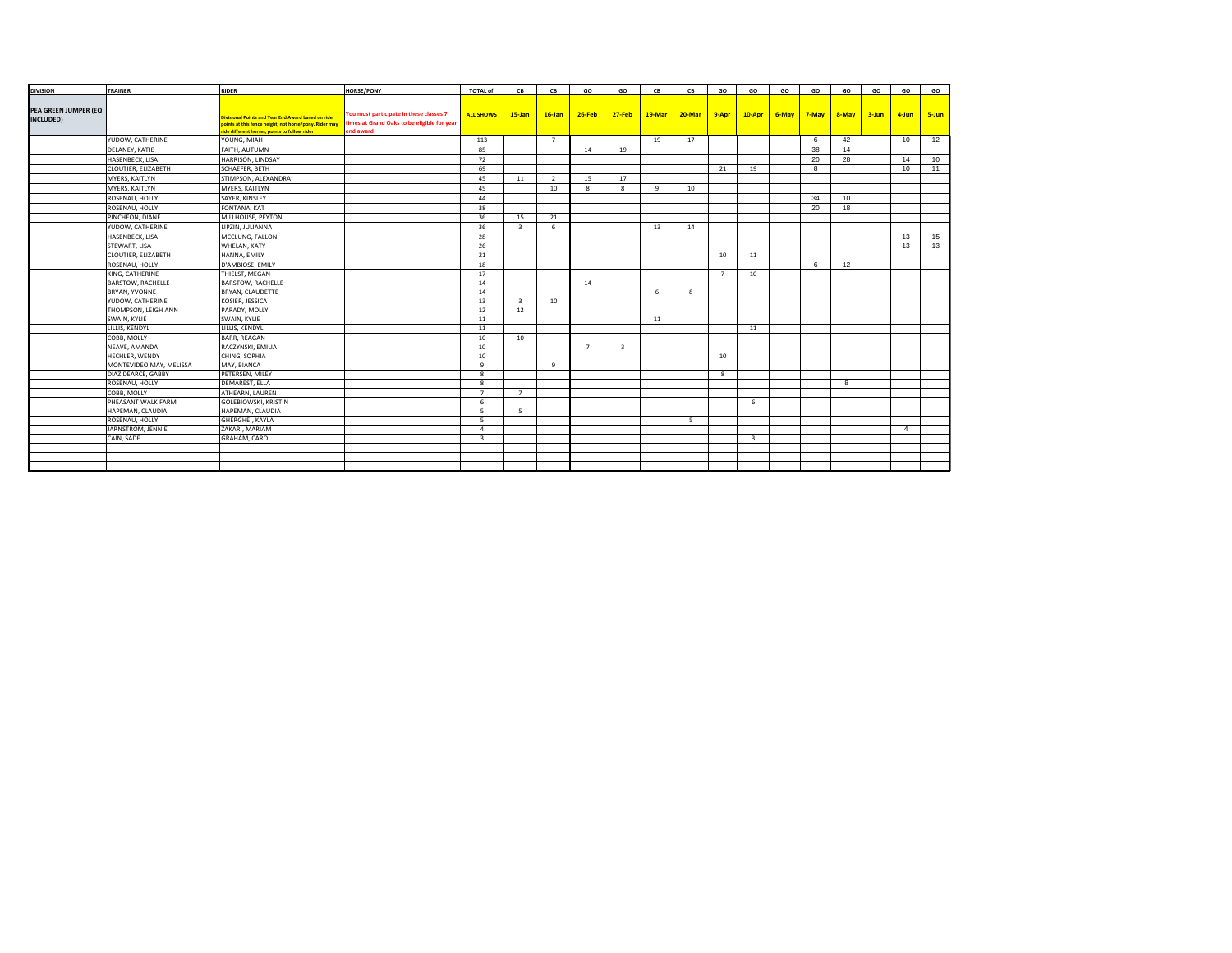| <b>DIVISION</b>      | TRAINER                 | <b>RIDER</b>                                           | <b>HORSE/PONY</b>                           | <b>TOTAL of</b>  | CB                       | CB             | GO             | GO                      | CB | CB                  | GO             | GO             | GO | GO                             | GO | GO | GO             | GO            |
|----------------------|-------------------------|--------------------------------------------------------|---------------------------------------------|------------------|--------------------------|----------------|----------------|-------------------------|----|---------------------|----------------|----------------|----|--------------------------------|----|----|----------------|---------------|
|                      |                         |                                                        |                                             |                  |                          |                |                |                         |    |                     |                |                |    |                                |    |    |                |               |
| PEA GREEN JUMPER (EQ |                         | Divisional Points and Year End Award based on rider    | You must participate in these classes 7     | <b>ALL SHOWS</b> | $15$ -Jan                | $16$ -Jan      | $26$ -Feb      | <b>27-Feb</b>           |    | 19-Mar 20-Mar 9-Apr |                |                |    | 10-Apr 6-May 7-May 8-May 3-Jun |    |    | 4-Jun          | $\vert$ 5-Jun |
| INCLUDED)            |                         | points at this fence height, not horse/pony. Rider may | times at Grand Oaks to be eligible for year |                  |                          |                |                |                         |    |                     |                |                |    |                                |    |    |                |               |
|                      |                         | ride different horses, points to follow rider          | end award                                   |                  |                          |                |                |                         |    |                     |                |                |    |                                |    |    |                |               |
|                      | YUDOW, CATHERINE        | YOUNG, MIAH                                            |                                             | 113              |                          | $\overline{7}$ |                |                         | 19 | 17                  |                |                |    | 6                              | 42 |    | 10             | 12            |
|                      | DELANEY, KATIE          | FAITH, AUTUMN                                          |                                             | 85               |                          |                | 14             | 19                      |    |                     |                |                |    | 38                             | 14 |    |                |               |
|                      | HASENBECK, LISA         | HARRISON, LINDSAY                                      |                                             | 72               |                          |                |                |                         |    |                     |                |                |    | 20                             | 28 |    | 14             | 10            |
|                      | CLOUTIER, ELIZABETH     | SCHAEFER, BETH                                         |                                             | 69               |                          |                |                |                         |    |                     | 21             | 19             |    | 8                              |    |    | 10             | 11            |
|                      | MYERS, KAITLYN          | STIMPSON, ALEXANDRA                                    |                                             | 45               | 11                       | <sup>2</sup>   | 15             | 17                      |    |                     |                |                |    |                                |    |    |                |               |
|                      | MYERS, KAITLYN          | MYERS, KAITLYN                                         |                                             | 45               |                          | 10             | ×              | 8                       | 9  | 10                  |                |                |    |                                |    |    |                |               |
|                      | ROSENAU, HOLLY          | SAYER, KINSLEY                                         |                                             | 44               |                          |                |                |                         |    |                     |                |                |    | 34                             | 10 |    |                |               |
|                      | ROSENAU, HOLLY          | FONTANA, KAT                                           |                                             | 38               |                          |                |                |                         |    |                     |                |                |    | 20                             | 18 |    |                |               |
|                      | PINCHEON, DIANE         | MILLHOUSE, PEYTON                                      |                                             | 36               | 15                       | 21             |                |                         |    |                     |                |                |    |                                |    |    |                |               |
|                      | YUDOW, CATHERINE        | LIPZIN, JULIANNA                                       |                                             | 36               | $\mathbf{3}$             | 6              |                |                         | 13 | 14                  |                |                |    |                                |    |    |                |               |
|                      | HASENBECK, LISA         | MCCLUNG, FALLON                                        |                                             | 28               |                          |                |                |                         |    |                     |                |                |    |                                |    |    | 13             | 15            |
|                      | STEWART, LISA           | WHELAN, KATY                                           |                                             | 26               |                          |                |                |                         |    |                     |                |                |    |                                |    |    | 13             | 13            |
|                      | CLOUTIER, ELIZABETH     | HANNA, EMILY                                           |                                             | 21               |                          |                |                |                         |    |                     | 10             | 11             |    |                                |    |    |                |               |
|                      | ROSENAU, HOLLY          | D'AMBIOSE, EMILY                                       |                                             | 18               |                          |                |                |                         |    |                     |                |                |    | 6                              | 12 |    |                |               |
|                      | KING, CATHERINE         | THIELST, MEGAN                                         |                                             | 17               |                          |                |                |                         |    |                     | $\overline{7}$ | 10             |    |                                |    |    |                |               |
|                      | BARSTOW, RACHELLE       | <b>BARSTOW, RACHELLE</b>                               |                                             | 14               |                          |                | 14             |                         |    |                     |                |                |    |                                |    |    |                |               |
|                      | BRYAN, YVONNE           | BRYAN, CLAUDETTE                                       |                                             | 14               |                          |                |                |                         | 6  | 8                   |                |                |    |                                |    |    |                |               |
|                      | YUDOW, CATHERINE        | KOSIER, JESSICA                                        |                                             | 13               | $\overline{\mathbf{3}}$  | 10             |                |                         |    |                     |                |                |    |                                |    |    |                |               |
|                      | THOMPSON, LEIGH ANN     | PARADY, MOLLY                                          |                                             | 12               | 12                       |                |                |                         |    |                     |                |                |    |                                |    |    |                |               |
|                      | SWAIN, KYLIE            | SWAIN, KYLIE                                           |                                             | 11               |                          |                |                |                         | 11 |                     |                |                |    |                                |    |    |                |               |
|                      | LILLIS, KENDYL          | LILLIS, KENDYL                                         |                                             | 11               |                          |                |                |                         |    |                     |                | 11             |    |                                |    |    |                |               |
|                      | COBB, MOLLY             | <b>BARR, REAGAN</b>                                    |                                             | 10               | 10                       |                |                |                         |    |                     |                |                |    |                                |    |    |                |               |
|                      | NEAVE, AMANDA           | RACZYNSKI, EMILIA                                      |                                             | 10               |                          |                | $\overline{z}$ | $\overline{\mathbf{3}}$ |    |                     |                |                |    |                                |    |    |                |               |
|                      | HECHLER, WENDY          | CHING, SOPHIA                                          |                                             | 10               |                          |                |                |                         |    |                     | 10             |                |    |                                |    |    |                |               |
|                      | MONTEVIDEO MAY, MELISSA | MAY, BIANCA                                            |                                             | 9                |                          | -9             |                |                         |    |                     |                |                |    |                                |    |    |                |               |
|                      | DIAZ DEARCE, GABBY      | PETERSEN, MILEY                                        |                                             | 8                |                          |                |                |                         |    |                     | 8              |                |    |                                |    |    |                |               |
|                      | ROSENAU, HOLLY          | DEMAREST, ELLA                                         |                                             | $\mathbf{g}$     |                          |                |                |                         |    |                     |                |                |    |                                | 8  |    |                |               |
|                      | COBB, MOLLY             | ATHEARN, LAUREN                                        |                                             | $\overline{7}$   | $\overline{7}$           |                |                |                         |    |                     |                |                |    |                                |    |    |                |               |
|                      | PHEASANT WALK FARM      | <b>GOLEBIOWSKI, KRISTIN</b>                            |                                             | 6                |                          |                |                |                         |    |                     |                | 6              |    |                                |    |    |                |               |
|                      | HAPEMAN, CLAUDIA        | HAPEMAN, CLAUDIA                                       |                                             | 5 <sup>2</sup>   | $\overline{\phantom{a}}$ |                |                |                         |    |                     |                |                |    |                                |    |    |                |               |
|                      | ROSENAU, HOLLY          | GHERGHEI, KAYLA                                        |                                             | 5 <sup>2</sup>   |                          |                |                |                         |    | - 5                 |                |                |    |                                |    |    |                |               |
|                      | JARNSTROM, JENNIE       | ZAKARI, MARIAM                                         |                                             | $\overline{4}$   |                          |                |                |                         |    |                     |                |                |    |                                |    |    | $\overline{4}$ |               |
|                      | CAIN, SADE              | <b>GRAHAM, CAROL</b>                                   |                                             | $\overline{3}$   |                          |                |                |                         |    |                     |                | $\overline{3}$ |    |                                |    |    |                |               |
|                      |                         |                                                        |                                             |                  |                          |                |                |                         |    |                     |                |                |    |                                |    |    |                |               |
|                      |                         |                                                        |                                             |                  |                          |                |                |                         |    |                     |                |                |    |                                |    |    |                |               |
|                      |                         |                                                        |                                             |                  |                          |                |                |                         |    |                     |                |                |    |                                |    |    |                |               |